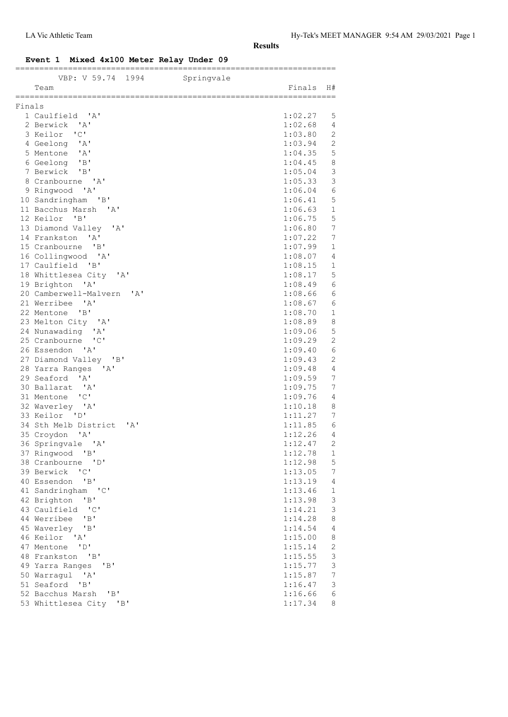### **Event 1 Mixed 4x100 Meter Relay Under 09**

| Finals<br>1 Caulfield 'A'<br>1:02.27<br>5<br>1:02.68<br>2 Berwick 'A'<br>4<br>"C"<br>3 Keilor<br>1:03.80<br>2<br>2<br>4 Geelong 'A'<br>1:03.94<br>5 Mentone 'A'<br>5<br>1:04.35<br>6 Geelong 'B'<br>8<br>1:04.45<br>$\mathsf 3$<br>7 Berwick 'B'<br>1:05.04<br>$\mathsf 3$<br>1:05.33<br>8 Cranbourne 'A'<br>9 Ringwood 'A'<br>1:06.04<br>6<br>5<br>10 Sandringham 'B'<br>1:06.41<br>11 Bacchus Marsh 'A'<br>1:06.63<br>1<br>5<br>12 Keilor 'B'<br>1:06.75<br>7<br>13 Diamond Valley 'A'<br>1:06.80<br>7<br>14 Frankston 'A'<br>1:07.22<br>15 Cranbourne 'B'<br>1:07.99<br>1<br>16 Collingwood 'A'<br>1:08.07<br>4<br>17 Caulfield 'B'<br>1:08.15<br>1<br>5<br>18 Whittlesea City 'A'<br>1:08.17<br>6<br>19 Brighton 'A'<br>1:08.49<br>20 Camberwell-Malvern 'A'<br>1:08.66<br>6<br>21 Werribee 'A'<br>1:08.67<br>6<br>22 Mentone<br>$\mathsf{B}$<br>1:08.70<br>1<br>23 Melton City 'A'<br>1:08.89<br>8<br>5<br>24 Nunawading 'A'<br>1:09.06<br>$\overline{2}$<br>25 Cranbourne 'C'<br>1:09.29<br>6<br>26 Essendon 'A'<br>1:09.40<br>$\mathbf{2}$<br>27 Diamond Valley 'B'<br>1:09.43<br>1:09.48<br>4<br>28 Yarra Ranges<br>'A'<br>7<br>29 Seaford 'A'<br>1:09.59<br>7<br>30 Ballarat 'A'<br>1:09.75<br>$^{\prime}$ C $^{\prime}$<br>$\overline{4}$<br>31 Mentone<br>1:09.76<br>32 Waverley 'A'<br>1:10.18<br>8<br>33 Keilor 'D'<br>7<br>1:11.27<br>34 Sth Melb District<br>1:11.85<br>$\mathsf{A}$<br>6<br>35 Croydon 'A'<br>1:12.26<br>4<br>2<br>36 Springvale 'A'<br>1:12.47<br>37 Ringwood<br>1:12.78<br>$\overline{B}$<br>$\mathbf{1}$<br>1:12.98<br>5<br>38 Cranbourne<br>$\overline{D}$<br>39 Berwick<br>$^{\prime}$ C $^{\prime}$<br>1:13.05<br>7<br>40 Essendon<br>"B"<br>1:13.19<br>4<br>41 Sandringham<br>"C"<br>1:13.46<br>$\mathbf{1}$<br>3<br>42 Brighton<br>"B"<br>1:13.98<br>3<br>43 Caulfield<br>$\overline{\phantom{a}}$ $\overline{\phantom{a}}$ $\overline{\phantom{a}}$<br>1:14.21<br>44 Werribee<br>"B"<br>1:14.28<br>8<br>45 Waverley<br>4<br>"B"<br>1:14.54<br>46 Keilor 'A'<br>1:15.00<br>8<br>47 Mentone<br>1:15.14<br>2<br>"D"<br>3<br>48 Frankston 'B'<br>1:15.55<br>3<br>49 Yarra Ranges<br>1:15.77<br>'B'<br>7<br>50 Warragul<br>' A'<br>1:15.87<br>51 Seaford<br>"B"<br>1:16.47<br>3<br>52 Bacchus Marsh<br>"B"<br>1:16.66<br>6<br>53 Whittlesea City 'B'<br>1:17.34<br>8 | VBP: V 59.74 1994<br>Team | Springvale | Finals | H# |
|----------------------------------------------------------------------------------------------------------------------------------------------------------------------------------------------------------------------------------------------------------------------------------------------------------------------------------------------------------------------------------------------------------------------------------------------------------------------------------------------------------------------------------------------------------------------------------------------------------------------------------------------------------------------------------------------------------------------------------------------------------------------------------------------------------------------------------------------------------------------------------------------------------------------------------------------------------------------------------------------------------------------------------------------------------------------------------------------------------------------------------------------------------------------------------------------------------------------------------------------------------------------------------------------------------------------------------------------------------------------------------------------------------------------------------------------------------------------------------------------------------------------------------------------------------------------------------------------------------------------------------------------------------------------------------------------------------------------------------------------------------------------------------------------------------------------------------------------------------------------------------------------------------------------------------------------------------------------------------------------------------------------------------------------------------------------------------------------------------------------------------------------------------------------------------------------------------------------------------------------------------------------------------------------------------|---------------------------|------------|--------|----|
|                                                                                                                                                                                                                                                                                                                                                                                                                                                                                                                                                                                                                                                                                                                                                                                                                                                                                                                                                                                                                                                                                                                                                                                                                                                                                                                                                                                                                                                                                                                                                                                                                                                                                                                                                                                                                                                                                                                                                                                                                                                                                                                                                                                                                                                                                                          |                           |            |        |    |
|                                                                                                                                                                                                                                                                                                                                                                                                                                                                                                                                                                                                                                                                                                                                                                                                                                                                                                                                                                                                                                                                                                                                                                                                                                                                                                                                                                                                                                                                                                                                                                                                                                                                                                                                                                                                                                                                                                                                                                                                                                                                                                                                                                                                                                                                                                          |                           |            |        |    |
|                                                                                                                                                                                                                                                                                                                                                                                                                                                                                                                                                                                                                                                                                                                                                                                                                                                                                                                                                                                                                                                                                                                                                                                                                                                                                                                                                                                                                                                                                                                                                                                                                                                                                                                                                                                                                                                                                                                                                                                                                                                                                                                                                                                                                                                                                                          |                           |            |        |    |
|                                                                                                                                                                                                                                                                                                                                                                                                                                                                                                                                                                                                                                                                                                                                                                                                                                                                                                                                                                                                                                                                                                                                                                                                                                                                                                                                                                                                                                                                                                                                                                                                                                                                                                                                                                                                                                                                                                                                                                                                                                                                                                                                                                                                                                                                                                          |                           |            |        |    |
|                                                                                                                                                                                                                                                                                                                                                                                                                                                                                                                                                                                                                                                                                                                                                                                                                                                                                                                                                                                                                                                                                                                                                                                                                                                                                                                                                                                                                                                                                                                                                                                                                                                                                                                                                                                                                                                                                                                                                                                                                                                                                                                                                                                                                                                                                                          |                           |            |        |    |
|                                                                                                                                                                                                                                                                                                                                                                                                                                                                                                                                                                                                                                                                                                                                                                                                                                                                                                                                                                                                                                                                                                                                                                                                                                                                                                                                                                                                                                                                                                                                                                                                                                                                                                                                                                                                                                                                                                                                                                                                                                                                                                                                                                                                                                                                                                          |                           |            |        |    |
|                                                                                                                                                                                                                                                                                                                                                                                                                                                                                                                                                                                                                                                                                                                                                                                                                                                                                                                                                                                                                                                                                                                                                                                                                                                                                                                                                                                                                                                                                                                                                                                                                                                                                                                                                                                                                                                                                                                                                                                                                                                                                                                                                                                                                                                                                                          |                           |            |        |    |
|                                                                                                                                                                                                                                                                                                                                                                                                                                                                                                                                                                                                                                                                                                                                                                                                                                                                                                                                                                                                                                                                                                                                                                                                                                                                                                                                                                                                                                                                                                                                                                                                                                                                                                                                                                                                                                                                                                                                                                                                                                                                                                                                                                                                                                                                                                          |                           |            |        |    |
|                                                                                                                                                                                                                                                                                                                                                                                                                                                                                                                                                                                                                                                                                                                                                                                                                                                                                                                                                                                                                                                                                                                                                                                                                                                                                                                                                                                                                                                                                                                                                                                                                                                                                                                                                                                                                                                                                                                                                                                                                                                                                                                                                                                                                                                                                                          |                           |            |        |    |
|                                                                                                                                                                                                                                                                                                                                                                                                                                                                                                                                                                                                                                                                                                                                                                                                                                                                                                                                                                                                                                                                                                                                                                                                                                                                                                                                                                                                                                                                                                                                                                                                                                                                                                                                                                                                                                                                                                                                                                                                                                                                                                                                                                                                                                                                                                          |                           |            |        |    |
|                                                                                                                                                                                                                                                                                                                                                                                                                                                                                                                                                                                                                                                                                                                                                                                                                                                                                                                                                                                                                                                                                                                                                                                                                                                                                                                                                                                                                                                                                                                                                                                                                                                                                                                                                                                                                                                                                                                                                                                                                                                                                                                                                                                                                                                                                                          |                           |            |        |    |
|                                                                                                                                                                                                                                                                                                                                                                                                                                                                                                                                                                                                                                                                                                                                                                                                                                                                                                                                                                                                                                                                                                                                                                                                                                                                                                                                                                                                                                                                                                                                                                                                                                                                                                                                                                                                                                                                                                                                                                                                                                                                                                                                                                                                                                                                                                          |                           |            |        |    |
|                                                                                                                                                                                                                                                                                                                                                                                                                                                                                                                                                                                                                                                                                                                                                                                                                                                                                                                                                                                                                                                                                                                                                                                                                                                                                                                                                                                                                                                                                                                                                                                                                                                                                                                                                                                                                                                                                                                                                                                                                                                                                                                                                                                                                                                                                                          |                           |            |        |    |
|                                                                                                                                                                                                                                                                                                                                                                                                                                                                                                                                                                                                                                                                                                                                                                                                                                                                                                                                                                                                                                                                                                                                                                                                                                                                                                                                                                                                                                                                                                                                                                                                                                                                                                                                                                                                                                                                                                                                                                                                                                                                                                                                                                                                                                                                                                          |                           |            |        |    |
|                                                                                                                                                                                                                                                                                                                                                                                                                                                                                                                                                                                                                                                                                                                                                                                                                                                                                                                                                                                                                                                                                                                                                                                                                                                                                                                                                                                                                                                                                                                                                                                                                                                                                                                                                                                                                                                                                                                                                                                                                                                                                                                                                                                                                                                                                                          |                           |            |        |    |
|                                                                                                                                                                                                                                                                                                                                                                                                                                                                                                                                                                                                                                                                                                                                                                                                                                                                                                                                                                                                                                                                                                                                                                                                                                                                                                                                                                                                                                                                                                                                                                                                                                                                                                                                                                                                                                                                                                                                                                                                                                                                                                                                                                                                                                                                                                          |                           |            |        |    |
|                                                                                                                                                                                                                                                                                                                                                                                                                                                                                                                                                                                                                                                                                                                                                                                                                                                                                                                                                                                                                                                                                                                                                                                                                                                                                                                                                                                                                                                                                                                                                                                                                                                                                                                                                                                                                                                                                                                                                                                                                                                                                                                                                                                                                                                                                                          |                           |            |        |    |
|                                                                                                                                                                                                                                                                                                                                                                                                                                                                                                                                                                                                                                                                                                                                                                                                                                                                                                                                                                                                                                                                                                                                                                                                                                                                                                                                                                                                                                                                                                                                                                                                                                                                                                                                                                                                                                                                                                                                                                                                                                                                                                                                                                                                                                                                                                          |                           |            |        |    |
|                                                                                                                                                                                                                                                                                                                                                                                                                                                                                                                                                                                                                                                                                                                                                                                                                                                                                                                                                                                                                                                                                                                                                                                                                                                                                                                                                                                                                                                                                                                                                                                                                                                                                                                                                                                                                                                                                                                                                                                                                                                                                                                                                                                                                                                                                                          |                           |            |        |    |
|                                                                                                                                                                                                                                                                                                                                                                                                                                                                                                                                                                                                                                                                                                                                                                                                                                                                                                                                                                                                                                                                                                                                                                                                                                                                                                                                                                                                                                                                                                                                                                                                                                                                                                                                                                                                                                                                                                                                                                                                                                                                                                                                                                                                                                                                                                          |                           |            |        |    |
|                                                                                                                                                                                                                                                                                                                                                                                                                                                                                                                                                                                                                                                                                                                                                                                                                                                                                                                                                                                                                                                                                                                                                                                                                                                                                                                                                                                                                                                                                                                                                                                                                                                                                                                                                                                                                                                                                                                                                                                                                                                                                                                                                                                                                                                                                                          |                           |            |        |    |
|                                                                                                                                                                                                                                                                                                                                                                                                                                                                                                                                                                                                                                                                                                                                                                                                                                                                                                                                                                                                                                                                                                                                                                                                                                                                                                                                                                                                                                                                                                                                                                                                                                                                                                                                                                                                                                                                                                                                                                                                                                                                                                                                                                                                                                                                                                          |                           |            |        |    |
|                                                                                                                                                                                                                                                                                                                                                                                                                                                                                                                                                                                                                                                                                                                                                                                                                                                                                                                                                                                                                                                                                                                                                                                                                                                                                                                                                                                                                                                                                                                                                                                                                                                                                                                                                                                                                                                                                                                                                                                                                                                                                                                                                                                                                                                                                                          |                           |            |        |    |
|                                                                                                                                                                                                                                                                                                                                                                                                                                                                                                                                                                                                                                                                                                                                                                                                                                                                                                                                                                                                                                                                                                                                                                                                                                                                                                                                                                                                                                                                                                                                                                                                                                                                                                                                                                                                                                                                                                                                                                                                                                                                                                                                                                                                                                                                                                          |                           |            |        |    |
|                                                                                                                                                                                                                                                                                                                                                                                                                                                                                                                                                                                                                                                                                                                                                                                                                                                                                                                                                                                                                                                                                                                                                                                                                                                                                                                                                                                                                                                                                                                                                                                                                                                                                                                                                                                                                                                                                                                                                                                                                                                                                                                                                                                                                                                                                                          |                           |            |        |    |
|                                                                                                                                                                                                                                                                                                                                                                                                                                                                                                                                                                                                                                                                                                                                                                                                                                                                                                                                                                                                                                                                                                                                                                                                                                                                                                                                                                                                                                                                                                                                                                                                                                                                                                                                                                                                                                                                                                                                                                                                                                                                                                                                                                                                                                                                                                          |                           |            |        |    |
|                                                                                                                                                                                                                                                                                                                                                                                                                                                                                                                                                                                                                                                                                                                                                                                                                                                                                                                                                                                                                                                                                                                                                                                                                                                                                                                                                                                                                                                                                                                                                                                                                                                                                                                                                                                                                                                                                                                                                                                                                                                                                                                                                                                                                                                                                                          |                           |            |        |    |
|                                                                                                                                                                                                                                                                                                                                                                                                                                                                                                                                                                                                                                                                                                                                                                                                                                                                                                                                                                                                                                                                                                                                                                                                                                                                                                                                                                                                                                                                                                                                                                                                                                                                                                                                                                                                                                                                                                                                                                                                                                                                                                                                                                                                                                                                                                          |                           |            |        |    |
|                                                                                                                                                                                                                                                                                                                                                                                                                                                                                                                                                                                                                                                                                                                                                                                                                                                                                                                                                                                                                                                                                                                                                                                                                                                                                                                                                                                                                                                                                                                                                                                                                                                                                                                                                                                                                                                                                                                                                                                                                                                                                                                                                                                                                                                                                                          |                           |            |        |    |
|                                                                                                                                                                                                                                                                                                                                                                                                                                                                                                                                                                                                                                                                                                                                                                                                                                                                                                                                                                                                                                                                                                                                                                                                                                                                                                                                                                                                                                                                                                                                                                                                                                                                                                                                                                                                                                                                                                                                                                                                                                                                                                                                                                                                                                                                                                          |                           |            |        |    |
|                                                                                                                                                                                                                                                                                                                                                                                                                                                                                                                                                                                                                                                                                                                                                                                                                                                                                                                                                                                                                                                                                                                                                                                                                                                                                                                                                                                                                                                                                                                                                                                                                                                                                                                                                                                                                                                                                                                                                                                                                                                                                                                                                                                                                                                                                                          |                           |            |        |    |
|                                                                                                                                                                                                                                                                                                                                                                                                                                                                                                                                                                                                                                                                                                                                                                                                                                                                                                                                                                                                                                                                                                                                                                                                                                                                                                                                                                                                                                                                                                                                                                                                                                                                                                                                                                                                                                                                                                                                                                                                                                                                                                                                                                                                                                                                                                          |                           |            |        |    |
|                                                                                                                                                                                                                                                                                                                                                                                                                                                                                                                                                                                                                                                                                                                                                                                                                                                                                                                                                                                                                                                                                                                                                                                                                                                                                                                                                                                                                                                                                                                                                                                                                                                                                                                                                                                                                                                                                                                                                                                                                                                                                                                                                                                                                                                                                                          |                           |            |        |    |
|                                                                                                                                                                                                                                                                                                                                                                                                                                                                                                                                                                                                                                                                                                                                                                                                                                                                                                                                                                                                                                                                                                                                                                                                                                                                                                                                                                                                                                                                                                                                                                                                                                                                                                                                                                                                                                                                                                                                                                                                                                                                                                                                                                                                                                                                                                          |                           |            |        |    |
|                                                                                                                                                                                                                                                                                                                                                                                                                                                                                                                                                                                                                                                                                                                                                                                                                                                                                                                                                                                                                                                                                                                                                                                                                                                                                                                                                                                                                                                                                                                                                                                                                                                                                                                                                                                                                                                                                                                                                                                                                                                                                                                                                                                                                                                                                                          |                           |            |        |    |
|                                                                                                                                                                                                                                                                                                                                                                                                                                                                                                                                                                                                                                                                                                                                                                                                                                                                                                                                                                                                                                                                                                                                                                                                                                                                                                                                                                                                                                                                                                                                                                                                                                                                                                                                                                                                                                                                                                                                                                                                                                                                                                                                                                                                                                                                                                          |                           |            |        |    |
|                                                                                                                                                                                                                                                                                                                                                                                                                                                                                                                                                                                                                                                                                                                                                                                                                                                                                                                                                                                                                                                                                                                                                                                                                                                                                                                                                                                                                                                                                                                                                                                                                                                                                                                                                                                                                                                                                                                                                                                                                                                                                                                                                                                                                                                                                                          |                           |            |        |    |
|                                                                                                                                                                                                                                                                                                                                                                                                                                                                                                                                                                                                                                                                                                                                                                                                                                                                                                                                                                                                                                                                                                                                                                                                                                                                                                                                                                                                                                                                                                                                                                                                                                                                                                                                                                                                                                                                                                                                                                                                                                                                                                                                                                                                                                                                                                          |                           |            |        |    |
|                                                                                                                                                                                                                                                                                                                                                                                                                                                                                                                                                                                                                                                                                                                                                                                                                                                                                                                                                                                                                                                                                                                                                                                                                                                                                                                                                                                                                                                                                                                                                                                                                                                                                                                                                                                                                                                                                                                                                                                                                                                                                                                                                                                                                                                                                                          |                           |            |        |    |
|                                                                                                                                                                                                                                                                                                                                                                                                                                                                                                                                                                                                                                                                                                                                                                                                                                                                                                                                                                                                                                                                                                                                                                                                                                                                                                                                                                                                                                                                                                                                                                                                                                                                                                                                                                                                                                                                                                                                                                                                                                                                                                                                                                                                                                                                                                          |                           |            |        |    |
|                                                                                                                                                                                                                                                                                                                                                                                                                                                                                                                                                                                                                                                                                                                                                                                                                                                                                                                                                                                                                                                                                                                                                                                                                                                                                                                                                                                                                                                                                                                                                                                                                                                                                                                                                                                                                                                                                                                                                                                                                                                                                                                                                                                                                                                                                                          |                           |            |        |    |
|                                                                                                                                                                                                                                                                                                                                                                                                                                                                                                                                                                                                                                                                                                                                                                                                                                                                                                                                                                                                                                                                                                                                                                                                                                                                                                                                                                                                                                                                                                                                                                                                                                                                                                                                                                                                                                                                                                                                                                                                                                                                                                                                                                                                                                                                                                          |                           |            |        |    |
|                                                                                                                                                                                                                                                                                                                                                                                                                                                                                                                                                                                                                                                                                                                                                                                                                                                                                                                                                                                                                                                                                                                                                                                                                                                                                                                                                                                                                                                                                                                                                                                                                                                                                                                                                                                                                                                                                                                                                                                                                                                                                                                                                                                                                                                                                                          |                           |            |        |    |
|                                                                                                                                                                                                                                                                                                                                                                                                                                                                                                                                                                                                                                                                                                                                                                                                                                                                                                                                                                                                                                                                                                                                                                                                                                                                                                                                                                                                                                                                                                                                                                                                                                                                                                                                                                                                                                                                                                                                                                                                                                                                                                                                                                                                                                                                                                          |                           |            |        |    |
|                                                                                                                                                                                                                                                                                                                                                                                                                                                                                                                                                                                                                                                                                                                                                                                                                                                                                                                                                                                                                                                                                                                                                                                                                                                                                                                                                                                                                                                                                                                                                                                                                                                                                                                                                                                                                                                                                                                                                                                                                                                                                                                                                                                                                                                                                                          |                           |            |        |    |
|                                                                                                                                                                                                                                                                                                                                                                                                                                                                                                                                                                                                                                                                                                                                                                                                                                                                                                                                                                                                                                                                                                                                                                                                                                                                                                                                                                                                                                                                                                                                                                                                                                                                                                                                                                                                                                                                                                                                                                                                                                                                                                                                                                                                                                                                                                          |                           |            |        |    |
|                                                                                                                                                                                                                                                                                                                                                                                                                                                                                                                                                                                                                                                                                                                                                                                                                                                                                                                                                                                                                                                                                                                                                                                                                                                                                                                                                                                                                                                                                                                                                                                                                                                                                                                                                                                                                                                                                                                                                                                                                                                                                                                                                                                                                                                                                                          |                           |            |        |    |
|                                                                                                                                                                                                                                                                                                                                                                                                                                                                                                                                                                                                                                                                                                                                                                                                                                                                                                                                                                                                                                                                                                                                                                                                                                                                                                                                                                                                                                                                                                                                                                                                                                                                                                                                                                                                                                                                                                                                                                                                                                                                                                                                                                                                                                                                                                          |                           |            |        |    |
|                                                                                                                                                                                                                                                                                                                                                                                                                                                                                                                                                                                                                                                                                                                                                                                                                                                                                                                                                                                                                                                                                                                                                                                                                                                                                                                                                                                                                                                                                                                                                                                                                                                                                                                                                                                                                                                                                                                                                                                                                                                                                                                                                                                                                                                                                                          |                           |            |        |    |
|                                                                                                                                                                                                                                                                                                                                                                                                                                                                                                                                                                                                                                                                                                                                                                                                                                                                                                                                                                                                                                                                                                                                                                                                                                                                                                                                                                                                                                                                                                                                                                                                                                                                                                                                                                                                                                                                                                                                                                                                                                                                                                                                                                                                                                                                                                          |                           |            |        |    |
|                                                                                                                                                                                                                                                                                                                                                                                                                                                                                                                                                                                                                                                                                                                                                                                                                                                                                                                                                                                                                                                                                                                                                                                                                                                                                                                                                                                                                                                                                                                                                                                                                                                                                                                                                                                                                                                                                                                                                                                                                                                                                                                                                                                                                                                                                                          |                           |            |        |    |
|                                                                                                                                                                                                                                                                                                                                                                                                                                                                                                                                                                                                                                                                                                                                                                                                                                                                                                                                                                                                                                                                                                                                                                                                                                                                                                                                                                                                                                                                                                                                                                                                                                                                                                                                                                                                                                                                                                                                                                                                                                                                                                                                                                                                                                                                                                          |                           |            |        |    |
|                                                                                                                                                                                                                                                                                                                                                                                                                                                                                                                                                                                                                                                                                                                                                                                                                                                                                                                                                                                                                                                                                                                                                                                                                                                                                                                                                                                                                                                                                                                                                                                                                                                                                                                                                                                                                                                                                                                                                                                                                                                                                                                                                                                                                                                                                                          |                           |            |        |    |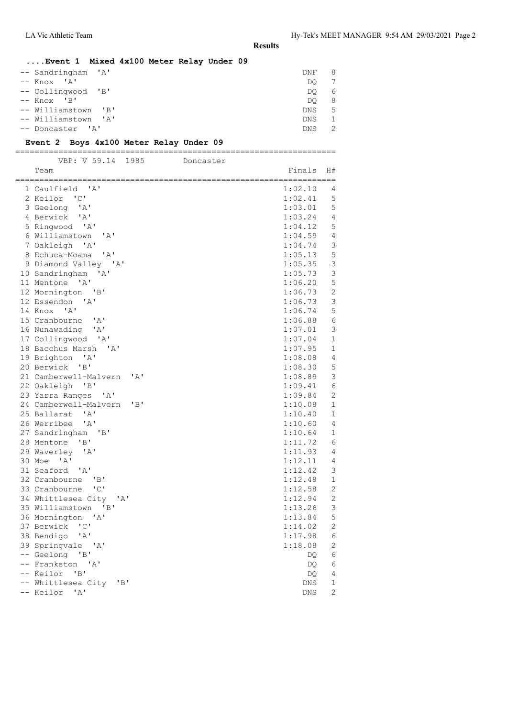LA Vic Athletic Team Hy-Tek's MEET MANAGER 9:54 AM 29/03/2021 Page 2

**Results**

### **....Event 1 Mixed 4x100 Meter Relay Under 09**

| -- Sandringham 'A'  | DNF        | 8 |
|---------------------|------------|---|
| $--$ Knox $'A'$     | DO         |   |
| -- Collingwood 'B'  | DO         | 6 |
| $--$ Knox $'B'$     | DO         | 8 |
| -- Williamstown 'B' | DNS        | 5 |
| -- Williamstown 'A' | <b>DNS</b> |   |
| -- Doncaster 'A'    | DNS        |   |

#### **Event 2 Boys 4x100 Meter Relay Under 09**

| --<br>__             |    |      | ___<br>___ |
|----------------------|----|------|------------|
| 777<br>. / H D<br>້ີ | 50 | -9.8 | Joncastor  |

| Team                                                            | Finals     | H#                |
|-----------------------------------------------------------------|------------|-------------------|
| 1 Caulfield<br>' A'                                             | 1:02.10    | 4                 |
| 2 Keilor 'C'                                                    | 1:02.41    | 5                 |
| 3 Geelong 'A'                                                   | 1:03.01    | 5                 |
| 4 Berwick 'A'                                                   | 1:03.24    | $\overline{4}$    |
| 5 Ringwood 'A'                                                  | 1:04.12    | 5                 |
| 6 Williamstown<br>'A'                                           | 1:04.59    | $\overline{4}$    |
| 'A'<br>7 Oakleigh                                               | 1:04.74    | 3                 |
| 8 Echuca-Moama<br>' A'                                          | 1:05.13    | 5                 |
| 9 Diamond Valley 'A'                                            | 1:05.35    | 3                 |
| 10 Sandringham<br>$^{\prime}$ A $^{\prime}$                     | 1:05.73    | 3                 |
| 11 Mentone 'A'                                                  | 1:06.20    | 5                 |
| 12 Mornington 'B'                                               | 1:06.73    | 2                 |
| 12 Essendon 'A'                                                 | 1:06.73    | 3                 |
| 14 Knox 'A'                                                     | 1:06.74    | 5                 |
| 15 Cranbourne<br>' A'                                           | 1:06.88    | 6                 |
| 16 Nunawading<br>$^{\prime}$ A $^{\prime}$                      | 1:07.01    | 3                 |
| 17 Collingwood 'A'                                              | 1:07.04    | $\mathbf{1}$      |
| 18 Bacchus Marsh 'A'                                            | 1:07.95    | $\mathbf{1}$      |
| 19 Brighton 'A'                                                 | 1:08.08    | 4                 |
| 20 Berwick<br>"B"                                               | 1:08.30    | 5                 |
| ' A'<br>21 Camberwell-Malvern                                   | 1:08.89    | 3                 |
| 22 Oakleigh<br>$\overline{B}$                                   | 1:09.41    | 6                 |
| 23 Yarra Ranges<br>"A"                                          | 1:09.84    | $\overline{2}$    |
| 24 Camberwell-Malvern<br>"B"                                    | 1:10.08    | 1                 |
| 25 Ballarat 'A'                                                 | 1:10.40    | $\mathbf{1}$      |
| 26 Werribee<br>' A'                                             | 1:10.60    | 4                 |
| 27 Sandringham 'B'                                              | 1:10.64    | 1                 |
| 28 Mentone<br>"B"                                               | 1:11.72    | 6                 |
| 29 Waverley 'A'                                                 | 1:11.93    | $\overline{4}$    |
| 30 Moe 'A'                                                      | 1:12.11    | 4                 |
| 31 Seaford 'A'                                                  | 1:12.42    | 3                 |
| 32 Cranbourne<br>$'$ B $'$                                      | 1:12.48    | $\mathbf{1}$      |
| 33 Cranbourne 'C'                                               | 1:12.58    | $\overline{2}$    |
| 34 Whittlesea City 'A'                                          | 1:12.94    | $\mathbf{2}$      |
| 35 Williamstown<br>$^{\prime}$ B <sup><math>\prime</math></sup> | 1:13.26    | 3                 |
| 36 Mornington 'A'                                               | 1:13.84    | 5                 |
| 37 Berwick 'C'                                                  | 1:14.02    | 2                 |
| 38 Bendigo 'A'                                                  | 1:17.98    | 6                 |
| 39 Springvale 'A'                                               | 1:18.08    | $\mathbf{2}$      |
| -- Geelong<br>$\overline{B}$                                    | DQ         | 6                 |
| -- Frankston 'A'                                                | DQ         | 6                 |
| -- Keilor 'B'                                                   | DQ.        | 4<br>$\mathbf{1}$ |
| -- Whittlesea City 'B'                                          | DNS        |                   |
| -- Keilor<br>' A'                                               | <b>DNS</b> | $\overline{2}$    |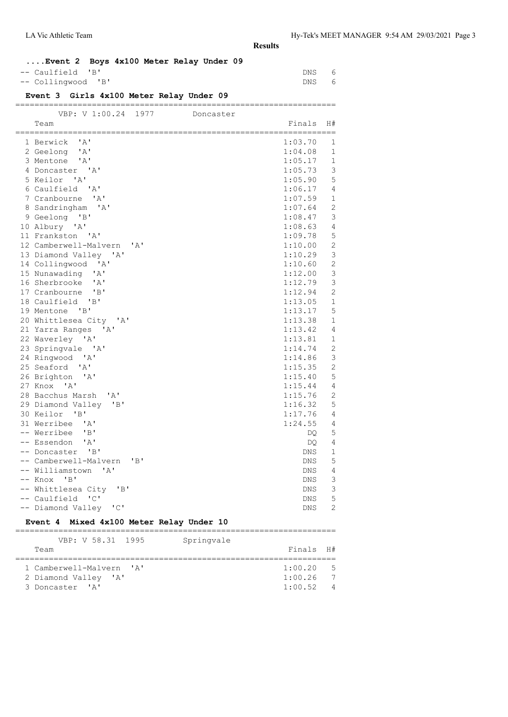### **....Event 2 Boys 4x100 Meter Relay Under 09**

| -- Caulfield 'B'   | DNS 6 |  |
|--------------------|-------|--|
| -- Collingwood 'B' | DNS 6 |  |

### **Event 3 Girls 4x100 Meter Relay Under 09**

| VBP: V 1:00.24<br>1977                             | Doncaster  |                |
|----------------------------------------------------|------------|----------------|
| Team                                               | Finals     | H#             |
|                                                    |            | ------         |
| 1 Berwick<br>' A'                                  | 1:03.70    | 1              |
| 2 Geelong 'A'                                      | 1:04.08    | $\mathbf{1}$   |
| 3 Mentone 'A'                                      | 1:05.17    | $\mathbf 1$    |
| 4 Doncaster 'A'                                    | 1:05.73    | $\mathsf 3$    |
| 5 Keilor<br>$^{\prime}$ A $^{\prime}$              | 1:05.90    | 5              |
| 6 Caulfield 'A'                                    | 1:06.17    | $\overline{4}$ |
| 7 Cranbourne 'A'                                   | 1:07.59    | 1              |
| 8 Sandringham<br>$^{\prime}$ A $^{\prime}$         | 1:07.64    | $\overline{2}$ |
| 9 Geelong 'B'                                      | 1:08.47    | 3              |
| 10 Albury<br>' A'                                  | 1:08.63    | 4              |
| 11 Frankston 'A'                                   | 1:09.78    | 5              |
| 12 Camberwell-Malvern<br>$^{\prime}$ A $^{\prime}$ | 1:10.00    | $\overline{c}$ |
| 13 Diamond Valley<br>$^{\prime}$ A $^{\prime}$     | 1:10.29    | 3              |
| 14 Collingwood 'A'                                 | 1:10.60    | $\overline{c}$ |
| 15 Nunawading<br>' A'                              | 1:12.00    | 3              |
| 16 Sherbrooke<br>' A'                              | 1:12.79    | 3              |
| "B"<br>17 Cranbourne                               | 1:12.94    | $\overline{2}$ |
| 18 Caulfield<br>'B'                                | 1:13.05    | $\mathbf{1}$   |
| "B"<br>19 Mentone                                  | 1:13.17    | 5              |
| 20 Whittlesea City 'A'                             | 1:13.38    | $\mathbf 1$    |
| $\mathsf{A}$<br>21 Yarra Ranges                    | 1:13.42    | 4              |
| 22 Waverley<br>' A'                                | 1:13.81    | 1              |
| 23 Springvale 'A'                                  | 1:14.74    | $\overline{2}$ |
| 24 Ringwood<br>'A'                                 | 1:14.86    | 3              |
| 25 Seaford 'A'                                     | 1:15.35    | $\overline{c}$ |
| 26 Brighton<br>' A'                                | 1:15.40    | 5              |
| 27 Knox 'A'                                        | 1:15.44    | 4              |
| 28 Bacchus Marsh 'A'                               | 1:15.76    | $\mathbf{2}$   |
| 29 Diamond Valley 'B'                              | 1:16.32    | 5              |
| 30 Keilor<br>"B"                                   | 1:17.76    | $\overline{4}$ |
| 31 Werribee<br>' A'                                | 1:24.55    | 4              |
| -- Werribee<br>"B"                                 | DO.        | 5              |
| 'A'<br>-- Essendon                                 | DQ.        | $\overline{4}$ |
| -- Doncaster<br>"B"                                | <b>DNS</b> | $\mathbf 1$    |
| -- Camberwell-Malvern<br>"B"                       | <b>DNS</b> | 5              |
| -- Williamstown<br>$^{\prime}$ A $^{\prime}$       | DNS        | 4              |
| "B"<br>-- Knox                                     | <b>DNS</b> | 3              |
| -- Whittlesea City<br>"B"                          | DNS        | 3              |
| -- Caulfield<br>$\cdot$ C $\cdot$                  | <b>DNS</b> | 5              |
| -- Diamond Valley 'C'                              | DNS        | $\overline{2}$ |
| Event 4 Mixed 4x100 Meter Relay Under 10           |            |                |

| VBP: V 58.31 1995        | Springvale |             |                |
|--------------------------|------------|-------------|----------------|
| Team                     |            | Finals H#   |                |
|                          |            |             |                |
| 1 Camberwell-Malvern 'A' |            | $1:00.20$ 5 |                |
| 2 Diamond Valley 'A'     |            | 1:00.26     | $\overline{7}$ |
| 3 Doncaster 'A'          |            | 1:00.52     | $\overline{4}$ |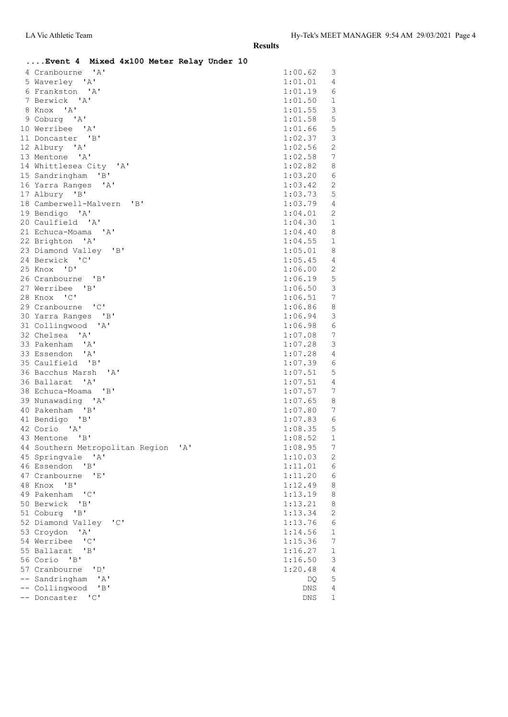| Event 4 Mixed 4x100 Meter Relay Under 10                         |                    |                  |
|------------------------------------------------------------------|--------------------|------------------|
| 4 Cranbourne 'A'                                                 | 1:00.62            | 3                |
| 5 Waverley 'A'                                                   | 1:01.01            | 4                |
| 6 Frankston 'A'                                                  | 1:01.19            | 6                |
| 7 Berwick 'A'                                                    | 1:01.50            | $\mathbf 1$      |
| 8 Knox 'A'                                                       | 1:01.55            | 3                |
| 9 Coburg 'A'                                                     | 1:01.58            | 5                |
| 10 Werribee 'A'                                                  | 1:01.66            | 5                |
| 11 Doncaster 'B'                                                 | 1:02.37            | 3                |
| 12 Albury 'A'                                                    | 1:02.56            | $\mathbf{2}$     |
| 13 Mentone 'A'                                                   | 1:02.58            | 7                |
| 14 Whittlesea City 'A'                                           | 1:02.82            | 8                |
| 15 Sandringham 'B'                                               | 1:03.20            | $\epsilon$       |
| 16 Yarra Ranges 'A'                                              | 1:03.42            | $\mathbf{2}$     |
| 17 Albury 'B'                                                    | 1:03.73            | 5                |
| 18 Camberwell-Malvern 'B'                                        | 1:03.79            | 4                |
| 19 Bendigo 'A'                                                   | 1:04.01            | $\overline{2}$   |
| 20 Caulfield 'A'                                                 | 1:04.30            | $\mathbf 1$      |
| 21 Echuca-Moama 'A'                                              | 1:04.40            | 8                |
| 22 Brighton 'A'                                                  | 1:04.55            | $\mathbf{1}$     |
| 23 Diamond Valley 'B'                                            | 1:05.01            | 8                |
| 24 Berwick 'C'                                                   | 1:05.45            | 4                |
| 25 Knox 'D'                                                      | 1:06.00            | $\mathbf{2}$     |
| 26 Cranbourne 'B'                                                | 1:06.19            | 5                |
| 27 Werribee 'B'                                                  | 1:06.50            | $\mathcal{E}$    |
| 28 Knox 'C'                                                      | 1:06.51            | $\boldsymbol{7}$ |
| 29 Cranbourne 'C'                                                | 1:06.86            | 8                |
| 30 Yarra Ranges 'B'                                              | 1:06.94            | 3                |
| 31 Collingwood 'A'                                               | 1:06.98            | $\epsilon$       |
| 32 Chelsea 'A'                                                   | 1:07.08            | 7                |
| 33 Pakenham 'A'                                                  | 1:07.28            | $\mathcal{E}$    |
| 33 Essendon 'A'                                                  | 1:07.28            | $\overline{4}$   |
| 35 Caulfield 'B'                                                 | 1:07.39            | 6                |
| 36 Bacchus Marsh<br>$^{\prime}$ A $^{\prime}$<br>36 Ballarat 'A' | 1:07.51<br>1:07.51 | 5<br>4           |
| 38 Echuca-Moama 'B'                                              | 1:07.57            | 7                |
| 39 Nunawading 'A'                                                | 1:07.65            | 8                |
| 40 Pakenham 'B'                                                  | 1:07.80            | $\boldsymbol{7}$ |
| 41 Bendigo<br>"B"                                                | 1:07.83            | 6                |
| 42 Corio 'A'                                                     | 1:08.35            | 5                |
| 43 Mentone 'B'                                                   | 1:08.52            | $\mathbf 1$      |
| 44 Southern Metropolitan Region<br>' A'                          | 1:08.95            | $\overline{7}$   |
| 45 Springvale<br>$\mathsf{A}$                                    | 1:10.03            | 2                |
| 46 Essendon<br>"B"                                               | 1:11.01            | 6                |
| 47 Cranbourne<br>- 'E'                                           | 1:11.20            | 6                |
| 48 Knox<br>"B"                                                   | 1:12.49            | 8                |
| 49 Pakenham<br>$^{\prime}$ C $^{\prime}$                         | 1:13.19            | 8                |
| 50 Berwick<br>"B"                                                | 1:13.21            | 8                |
| 51 Coburg 'B'                                                    | 1:13.34            | $\overline{c}$   |
| 52 Diamond Valley<br>$^{\prime}$ C $^{\prime}$                   | 1:13.76            | $\sqrt{6}$       |
| 53 Croydon<br>$\mathbf{A}$                                       | 1:14.56            | $1\,$            |
| 54 Werribee<br>$^{\prime}$ C $^{\prime}$                         | 1:15.36            | $\boldsymbol{7}$ |
| 55 Ballarat<br>"B"                                               | 1:16.27            | $\mathbf 1$      |
| 56 Corio 'B'                                                     | 1:16.50            | 3                |
| 57 Cranbourne<br>"D"                                             | 1:20.48            | $\sqrt{4}$       |
| Sandringham<br>'A'                                               | DQ                 | 5                |
| "B"<br>Collingwood<br>$^{\prime}$ C $^{\prime}$                  | DNS                | $\sqrt{4}$       |
| Doncaster                                                        | DNS                | $\mathbf 1$      |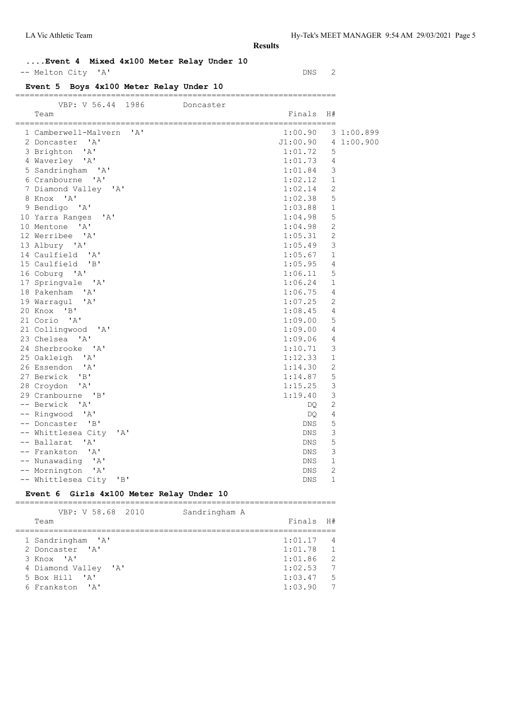# **....Event 4 Mixed 4x100 Meter Relay Under 10**

-- Melton City 'A' DNS 2

# **Event 5 Boys 4x100 Meter Relay Under 10**

#### ===================================================================

| VBP: V 56.44<br>1986<br>Doncaster         |          |                |            |
|-------------------------------------------|----------|----------------|------------|
| Team                                      | Finals   | H#             |            |
| 1 Camberwell-Malvern<br>$\mathsf{A}$      | 1:00.90  |                | 3 1:00.899 |
| 2 Doncaster 'A'                           | J1:00.90 |                | 4 1:00.900 |
| 3 Brighton<br>' A'                        | 1:01.72  | 5              |            |
| 4 Waverley 'A'                            | 1:01.73  | 4              |            |
| 5 Sandringham 'A'                         | 1:01.84  | 3              |            |
| 6 Cranbourne 'A'                          | 1:02.12  | $\mathbf 1$    |            |
| 7 Diamond Valley 'A'                      | 1:02.14  | $\overline{2}$ |            |
| 8 Knox 'A'                                | 1:02.38  | 5              |            |
| 9 Bendigo 'A'                             | 1:03.88  | $\mathbf 1$    |            |
| 10 Yarra Ranges<br>$\mathsf{A}$           | 1:04.98  | 5              |            |
| 10 Mentone<br>$^{\prime}$ A $^{\prime}$   | 1:04.98  | 2              |            |
| 12 Werribee 'A'                           | 1:05.31  | 2              |            |
| 13 Albury 'A'                             | 1:05.49  | 3              |            |
| 14 Caulfield 'A'                          | 1:05.67  | $\mathbf 1$    |            |
| 15 Caulfield 'B'                          | 1:05.95  | $\overline{4}$ |            |
| 16 Coburg 'A'                             | 1:06.11  | 5              |            |
| 17 Springvale 'A'                         | 1:06.24  | 1              |            |
| 18 Pakenham 'A'                           | 1:06.75  | 4              |            |
| 19 Warragul<br>' A'                       | 1:07.25  | 2              |            |
| 20 Knox 'B'                               | 1:08.45  | 4              |            |
| 21 Corio 'A'                              | 1:09.00  | 5              |            |
| 21 Collingwood 'A'                        | 1:09.00  | 4              |            |
| 23 Chelsea 'A'                            | 1:09.06  | 4              |            |
| 24 Sherbrooke 'A'                         | 1:10.71  | 3              |            |
| 25 Oakleigh 'A'                           | 1:12.33  | $\mathbf{1}$   |            |
| 26 Essendon 'A'                           | 1:14.30  | $\mathbf{2}$   |            |
| 27 Berwick 'B'                            | 1:14.87  | 5              |            |
| 28 Croydon<br>$^{\prime}$ A $^{\prime}$   | 1:15.25  | 3              |            |
| 29 Cranbourne 'B'                         | 1:19.40  | 3              |            |
| -- Berwick<br>$\mathsf{A}$                | DQ.      | 2              |            |
| -- Ringwood 'A'                           | DQ.      | 4              |            |
| -- Doncaster 'B'                          | DNS.     | 5              |            |
| -- Whittlesea City<br>' A'                | DNS.     | 3              |            |
| -- Ballarat<br>' A'                       | DNS      | 5              |            |
| -- Frankston<br>$^{\prime}$ A $^{\prime}$ | DNS.     | 3              |            |
| -- Nunawading 'A'                         | DNS.     | 1              |            |
| -- Mornington 'A'                         | DNS      | 2              |            |
| -- Whittlesea City<br>"B"                 | DNS      | 1              |            |

#### **Event 6 Girls 4x100 Meter Relay Under 10**

=================================================================== VBP: V 58.68 2010 Sandringham A

| VDI. V JO.VO ZUIV                                                                                               | panar riigilalli A |                                                                    |                                                     |
|-----------------------------------------------------------------------------------------------------------------|--------------------|--------------------------------------------------------------------|-----------------------------------------------------|
| Team                                                                                                            |                    | Finals                                                             | H#                                                  |
| 1 Sandringham 'A'<br>2 Doncaster 'A'<br>3 Knox 'A'<br>4 Diamond Valley 'A'<br>5 Box Hill 'A'<br>6 Frankston 'A' |                    | $1:01.17$ 4<br>1:01.78<br>1:01.86<br>1:02.53<br>1:03.47<br>1:03.90 | $\overline{1}$<br>- 2<br>$\overline{7}$<br>- 5<br>7 |
|                                                                                                                 |                    |                                                                    |                                                     |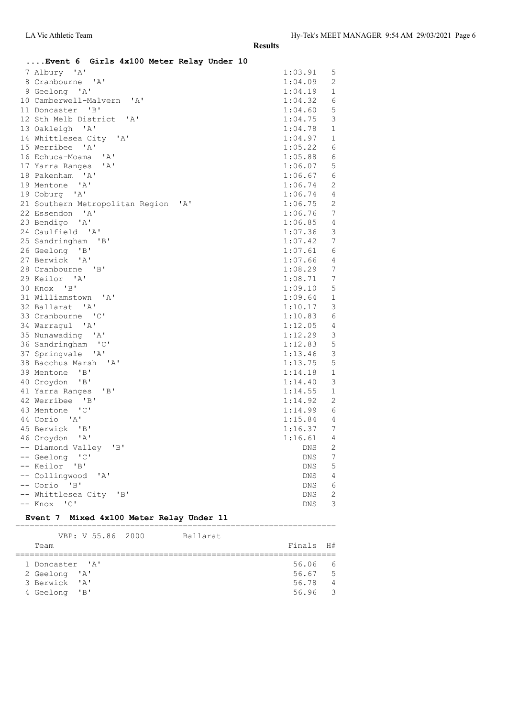| Event 6 Girls 4x100 Meter Relay Under 10    |                            |                |
|---------------------------------------------|----------------------------|----------------|
| 7 Albury 'A'                                | 1:03.91 5                  |                |
| 8 Cranbourne 'A'                            | 1:04.09 2                  |                |
| 9 Geelong 'A'                               | 1:04.19                    | $\mathbf{1}$   |
| 10 Camberwell-Malvern 'A'                   | 1:04.32                    | 6              |
| 11 Doncaster 'B'                            | 1:04.60                    | $\mathbf 5$    |
| 12 Sth Melb District 'A'                    | 1:04.75                    | 3              |
| 13 Oakleigh 'A'                             | 1:04.78                    | $\mathbf{1}$   |
| 14 Whittlesea City 'A'                      | 1:04.97                    | $\mathbf{1}$   |
| 15 Werribee 'A'                             | 1:05.22 6                  |                |
| 16 Echuca-Moama 'A'                         | 1:05.88 6                  |                |
| 17 Yarra Ranges 'A'                         | 1:06.07                    | 5              |
| 18 Pakenham 'A'                             | $1:06.67$ 6                |                |
| 19 Mentone 'A'                              | $1:06.74$ 2                |                |
| 19 Coburg 'A'                               | $1:06.74$ 4                |                |
| 21 Southern Metropolitan Region 'A'         | 1:06.75 2                  |                |
| 22 Essendon 'A'                             | 1:06.76                    | 7              |
| 23 Bendigo 'A'                              | 1:06.85                    | $\overline{4}$ |
| 24 Caulfield 'A'                            | 1:07.36                    | $\mathbf{3}$   |
| 25 Sandringham 'B'                          | 1:07.42 7                  |                |
| 26 Geelong 'B'                              | $1:07.61$ 6                |                |
| 27 Berwick 'A'                              | $1:07.66$ 4                |                |
| 28 Cranbourne 'B'                           | $1:08.29$ 7<br>$1:08.71$ 7 |                |
| 29 Keilor 'A'                               |                            |                |
| 30 Knox 'B'                                 | 1:09.10 5                  |                |
| 31 Williamstown 'A'                         | $1:09.64$ 1                |                |
| 32 Ballarat 'A'                             | 1:10.17                    | 3              |
| 33 Cranbourne 'C'                           | 1:10.83                    | 6              |
| 34 Warragul 'A'                             | 1:12.05                    | $\overline{4}$ |
| 35 Nunawading 'A'                           | 1:12.29                    | $\mathcal{E}$  |
| 36 Sandringham 'C'                          | 1:12.83                    | 5              |
| 37 Springvale 'A'                           | $1:13.46$ 3                |                |
| 38 Bacchus Marsh 'A'                        | $1:13.75$ 5                |                |
| 39 Mentone 'B'                              | $1:14.18$ 1                |                |
| 40 Croydon 'B'                              | 1:14.40                    | 3              |
| 41 Yarra Ranges<br>"B"                      | 1:14.55                    | 1              |
| 42 Werribee 'B'                             | 1:14.92 2                  |                |
| 43 Mentone 'C'                              | $1:14.99$ 6                |                |
| 44 Corio 'A'                                | 1:15.84 4                  |                |
| 45 Berwick 'B'                              | 1:16.37                    | 7              |
| 46 Croydon 'A'                              | 1:16.61 4                  |                |
| -- Diamond Valley 'B'                       | DNS                        | 2              |
| -- Geelong 'C'                              | DNS                        | 7              |
| -- Keilor 'B'                               | <b>DNS</b>                 | 5              |
| -- Collingwood<br>$^{\prime}$ A $^{\prime}$ | <b>DNS</b>                 | 4              |
| -- Corio 'B'                                | ${\rm DNS}$                | 6              |
| -- Whittlesea City 'B'                      | <b>DNS</b>                 | $\mathbf{2}$   |
| $\overline{\phantom{a}}$<br>-- Knox         | <b>DNS</b>                 | 3              |

### **Event 7 Mixed 4x100 Meter Relay Under 11**

|                 | VBP: V 55.86 2000 | Ballarat |           |                |
|-----------------|-------------------|----------|-----------|----------------|
| Team            |                   |          | Finals H# |                |
|                 |                   |          |           |                |
| 1 Doncaster 'A' |                   |          | 56.06     | 6              |
| 2 Geelong 'A'   |                   |          | 56.67     | $5^{\circ}$    |
| 3 Berwick 'A'   |                   |          | 56.78     | $\overline{4}$ |
| 4 Geelong 'B'   |                   |          | 56.96     | $\mathcal{R}$  |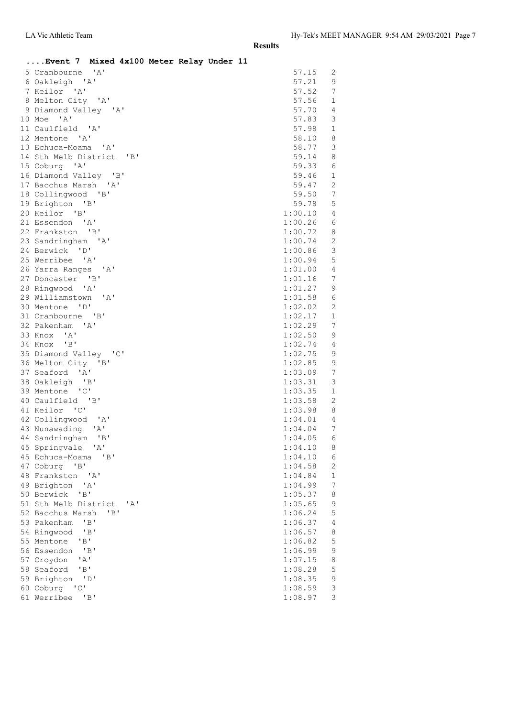|                                                         | Event 7 Mixed 4x100 Meter Relay Under 11 |
|---------------------------------------------------------|------------------------------------------|
| 5 Cranbourne 'A'                                        | 57.15<br>2                               |
| 6 Oakleigh 'A'                                          | 57.21<br>9                               |
| 7 Keilor 'A'                                            | 57.52<br>7                               |
| 8 Melton City 'A'                                       | 57.56<br>$\mathbf{1}$                    |
| 9 Diamond Valley 'A'                                    | 57.70<br>4                               |
| 10 Moe 'A'                                              | 57.83<br>3                               |
| 11 Caulfield 'A'                                        | $\mathbf{1}$<br>57.98                    |
| 12 Mentone 'A'                                          | $\,8\,$<br>58.10                         |
| 13 Echuca-Moama 'A'                                     | $\mathfrak{Z}$<br>58.77                  |
| 14 Sth Melb District 'B'                                | 59.14<br>8                               |
| 15 Coburg 'A'                                           | 59.33<br>6                               |
| 16 Diamond Valley 'B'                                   | 59.46<br>$\mathbf{1}$                    |
| 17 Bacchus Marsh 'A'                                    | 2<br>59.47                               |
| 18 Collingwood 'B'                                      | $7\phantom{.0}$<br>59.50                 |
| 19 Brighton 'B'                                         | 5<br>59.78                               |
| 20 Keilor 'B'                                           | 1:00.10<br>4                             |
| 21 Essendon 'A'                                         | 1:00.26<br>6                             |
| 22 Frankston 'B'                                        | 8<br>1:00.72                             |
| 23 Sandringham 'A'                                      | $\sqrt{2}$<br>1:00.74                    |
| 24 Berwick 'D'                                          | $\mathfrak{Z}$<br>1:00.86                |
| 25 Werribee 'A'                                         | $\mathbf 5$<br>1:00.94                   |
| 26 Yarra Ranges 'A'                                     | $\overline{4}$<br>1:01.00                |
| 27 Doncaster 'B'                                        | 7<br>1:01.16                             |
| 28 Ringwood 'A'                                         | 1:01.27<br>9                             |
| 29 Williamstown 'A'                                     | 6<br>1:01.58                             |
| 30 Mentone 'D'                                          | 1:02.02<br>2<br>$\mathbf{1}$             |
| 31 Cranbourne 'B'                                       | 1:02.17<br>$7\phantom{.0}$               |
| 32 Pakenham 'A'<br>33 Knox<br>$^{\prime}$ A $^{\prime}$ | 1:02.29<br>1:02.50<br>9                  |
| 34 Knox 'B'                                             | 1:02.74<br>4                             |
| 35 Diamond Valley 'C'                                   | $\mathsf 9$<br>1:02.75                   |
| 36 Melton City 'B'                                      | $\mathsf 9$<br>1:02.85                   |
| 37 Seaford 'A'                                          | $7\phantom{.0}$<br>1:03.09               |
| 38 Oakleigh 'B'                                         | 3<br>1:03.31                             |
| 39 Mentone 'C'                                          | $\mathbf{1}$<br>1:03.35                  |
| 40 Caulfield 'B'                                        | 2<br>1:03.58                             |
| 41 Keilor 'C'                                           | 1:03.98<br>8                             |
| 42 Collingwood 'A'                                      | $\overline{4}$<br>1:04.01                |
| 43 Nunawading 'A'                                       | 7<br>1:04.04                             |
| 44 Sandringham 'B'                                      | $1:04.05$ 6                              |
| 45 Springvale<br>$\mathsf{A}$                           | 1:04.10<br>8                             |
| 45 Echuca-Moama<br>"B"                                  | 1:04.10<br>6                             |
| 47 Coburg 'B'                                           | $\sqrt{2}$<br>1:04.58                    |
| 48 Frankston 'A'                                        | $\mathbf 1$<br>1:04.84                   |
| 49 Brighton<br>' A'                                     | $\boldsymbol{7}$<br>1:04.99              |
| "B"<br>50 Berwick                                       | $\,8\,$<br>1:05.37                       |
| 51 Sth Melb District                                    | 9<br>' A'<br>1:05.65                     |
| 52 Bacchus Marsh<br>"B"                                 | 5<br>1:06.24                             |
| "B"<br>53 Pakenham                                      | $\sqrt{4}$<br>1:06.37                    |
| "B"<br>54 Ringwood                                      | 8<br>1:06.57                             |
| 55 Mentone<br>"B"                                       | 5<br>1:06.82                             |
| "B"<br>56 Essendon                                      | $\mathsf 9$<br>1:06.99                   |
| ' A'<br>57 Croydon                                      | $\,8\,$<br>1:07.15                       |
| 'B'<br>58 Seaford                                       | 5<br>1:08.28                             |
| "D"<br>59 Brighton                                      | $\mathfrak{g}$<br>1:08.35                |
| "C"<br>60 Coburg                                        | 3<br>1:08.59                             |
| "B"<br>61 Werribee                                      | $\mathcal{S}$<br>1:08.97                 |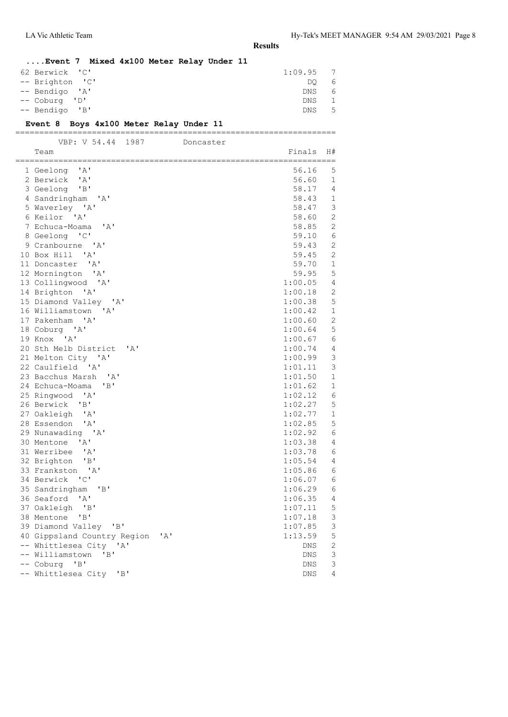# **....Event 7 Mixed 4x100 Meter Relay Under 11** 62 Berwick 'C' 1:09.95 7<br>-- Brighton 'C' DO 6

| -- Brighton 'C' | DO.  | 6  |
|-----------------|------|----|
| -- Bendigo 'A'  | DNS  | 6  |
| -- Coburg 'D'   | DNS  |    |
| -- Bendigo 'B'  | DNS. | -5 |
|                 |      |    |

#### **Event 8 Boys 4x100 Meter Relay Under 11** ===================================================================

| VBP: V 54.44<br>1987                        | Doncaster          |                |
|---------------------------------------------|--------------------|----------------|
| Team<br>===============                     | Finals             | H#<br>:=====   |
| 1 Geelong 'A'                               | 56.16              | 5              |
| 2 Berwick 'A'                               | 56.60              | $\mathbf{1}$   |
| 3 Geelong 'B'                               | 58.17              | 4              |
| 4 Sandringham 'A'                           | 58.43              | $\mathbf{1}$   |
| 5 Waverley 'A'                              | 58.47              | 3              |
| 6 Keilor 'A'                                | 58.60              | 2              |
| 7 Echuca-Moama<br>$^{\prime}$ A $^{\prime}$ | 58.85              | $\overline{2}$ |
| 8 Geelong 'C'                               | 59.10              | 6              |
| 9 Cranbourne 'A'                            | 59.43              | 2              |
| 10 Box Hill 'A'                             | 59.45              | $\overline{c}$ |
| 11 Doncaster 'A'                            | 59.70              | $\mathbf{1}$   |
| 12 Mornington 'A'                           | 59.95              | 5              |
| 13 Collingwood 'A'                          | 1:00.05            | 4              |
| 14 Brighton 'A'                             | 1:00.18            | 2              |
| 15 Diamond Valley 'A'                       | 1:00.38            | 5              |
| 16 Williamstown 'A'                         | 1:00.42            | $\mathbf{1}$   |
| 17 Pakenham 'A'                             | 1:00.60            | 2              |
| 18 Coburg 'A'                               | 1:00.64            | 5              |
| 19 Knox 'A'                                 | 1:00.67            | 6              |
| 20 Sth Melb District 'A'                    | 1:00.74            | 4<br>3         |
| 21 Melton City 'A'<br>22 Caulfield 'A'      | 1:00.99<br>1:01.11 | 3              |
| 23 Bacchus Marsh 'A'                        | 1:01.50            | $\mathbf 1$    |
| 24 Echuca-Moama<br>"B"                      | 1:01.62            | $\mathbf 1$    |
| 25 Ringwood 'A'                             | 1:02.12            | 6              |
| 26 Berwick 'B'                              | 1:02.27            | 5              |
| 27 Oakleigh 'A'                             | 1:02.77            | $\mathbf{1}$   |
| 28 Essendon 'A'                             | 1:02.85            | 5              |
| 29 Nunawading 'A'                           | 1:02.92            | 6              |
| 30 Mentone 'A'                              | 1:03.38            | $\overline{4}$ |
| 31 Werribee 'A'                             | 1:03.78            | 6              |
| 32 Brighton 'B'                             | 1:05.54            | 4              |
| 33 Frankston 'A'                            | 1:05.86            | 6              |
| 34 Berwick 'C'                              | 1:06.07            | 6              |
| 35 Sandringham 'B'                          | 1:06.29            | 6              |
| 36 Seaford 'A'                              | 1:06.35            | 4              |
| 37 Oakleigh 'B'                             | 1:07.11            | 5              |
| "B"<br>38 Mentone                           | 1:07.18            | 3              |
| 39 Diamond Valley 'B'                       | 1:07.85            | 3              |
| 40 Gippsland Country Region 'A'             | 1:13.59            | 5              |
| -- Whittlesea City 'A'                      | DNS                | 2              |
| -- Williamstown<br>$\mathsf{B}$             | DNS                | 3              |
| -- Coburg 'B'                               | DNS                | 3              |
| -- Whittlesea City 'B'                      | <b>DNS</b>         | 4              |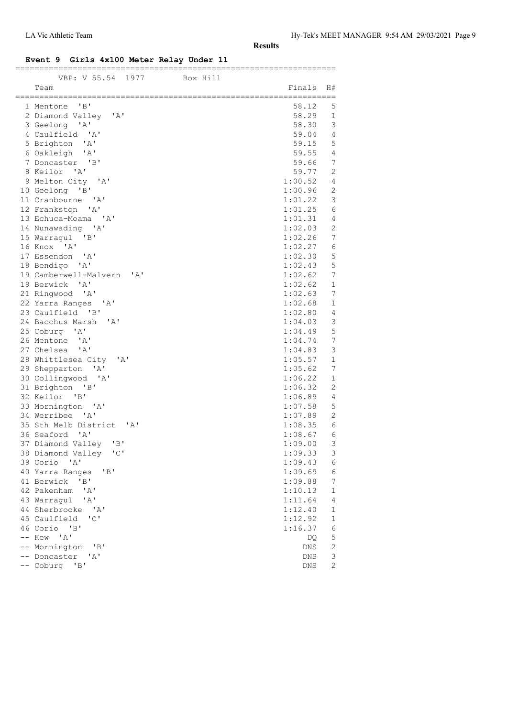#### **Event 9 Girls 4x100 Meter Relay Under 11**

| ----- 18100 RCG<br>-- **~-~~               |                    |                            |
|--------------------------------------------|--------------------|----------------------------|
| VBP: V 55.54 1977 Box Hill<br>Team         | Finals             | H#                         |
|                                            |                    |                            |
| 1 Mentone 'B'                              | 58.12              | 5                          |
| 2 Diamond Valley 'A'                       | 58.29              | 1                          |
| 3 Geelong 'A'                              | 58.30              | 3                          |
| 4 Caulfield 'A'                            | 59.04              | 4                          |
| 5 Brighton 'A'                             | 59.15              | 5                          |
| 6 Oakleigh 'A'                             | 59.55              | $\overline{4}$             |
| 7 Doncaster 'B'                            | 59.66              | 7                          |
| 8 Keilor 'A'                               | 59.77              | 2                          |
| 9 Melton City 'A'                          | 1:00.52            | $\overline{4}$             |
| 10 Geelong 'B'                             | 1:00.96            | 2                          |
| 11 Cranbourne 'A'                          | 1:01.22            | 3                          |
| 12 Frankston 'A'                           | 1:01.25            | 6                          |
| 13 Echuca-Moama 'A'                        | 1:01.31            | 4                          |
| 14 Nunawading 'A'                          | 1:02.03            | 2                          |
| 15 Warragul 'B'                            | 1:02.26            | 7                          |
| 16 Knox 'A'                                | 1:02.27            | 6                          |
| 17 Essendon 'A'                            | 1:02.30            | 5                          |
| 18 Bendigo 'A'                             | 1:02.43            | 5                          |
| 19 Camberwell-Malvern 'A'                  | 1:02.62            | 7                          |
| 19 Berwick 'A'                             | 1:02.62            | $\mathbf 1$                |
| 21 Ringwood 'A'                            | 1:02.63            | 7                          |
| 22 Yarra Ranges 'A'                        | 1:02.68            | $\mathbf 1$                |
| 23 Caulfield 'B'                           | 1:02.80            | $\overline{4}$             |
| 24 Bacchus Marsh 'A'                       | 1:04.03            | $\mathsf 3$<br>$\mathsf S$ |
| 25 Coburg 'A'<br>26 Mentone 'A'            | 1:04.49<br>1:04.74 | 7                          |
| 27 Chelsea 'A'                             | 1:04.83            | 3                          |
| 28 Whittlesea City 'A'                     | 1:05.57            | $\mathbf{1}$               |
| 29 Shepparton 'A'                          | 1:05.62            | 7                          |
| 30 Collingwood 'A'                         | 1:06.22            | $\mathbf{1}$               |
| 31 Brighton 'B'                            | 1:06.32            | $\mathbf{2}$               |
| 32 Keilor 'B'                              | 1:06.89            | 4                          |
| 33 Mornington 'A'                          | 1:07.58            | 5                          |
| 34 Werribee 'A'                            | 1:07.89            | 2                          |
| 35 Sth Melb District 'A'                   | 1:08.35            | 6                          |
| 36 Seaford 'A'                             | 1:08.67            | 6                          |
| 37 Diamond Valley 'B'                      | 1:09.00            | $\overline{\mathbf{3}}$    |
| 38 Diamond Valley 'C'                      | 1:09.33            | 3                          |
| 39 Corio<br>$^{\prime}$ A $^{\prime}$      | 1:09.43            | 6                          |
| 40 Yarra Ranges<br>"B"                     | 1:09.69            | 6                          |
| 41 Berwick 'B'                             | 1:09.88            | 7                          |
| 42 Pakenham<br>' A'                        | 1:10.13            | $\mathbf 1$                |
| ' A'<br>43 Warraqul                        | 1:11.64            | 4                          |
| 44 Sherbrooke<br>$^{\prime}$ A $^{\prime}$ | 1:12.40            | $\mathbf 1$                |
| "C"<br>45 Caulfield                        | 1:12.92            | 1                          |
| 46 Corio 'B'                               | 1:16.37            | 6                          |
| -- Kew 'A'                                 | DQ                 | 5                          |
| -- Mornington<br>$\mathsf{B}$              | DNS                | $\mathbf 2$                |
| -- Doncaster<br>' A'                       | DNS                | 3                          |
| -- Coburg 'B'                              | DNS                | 2                          |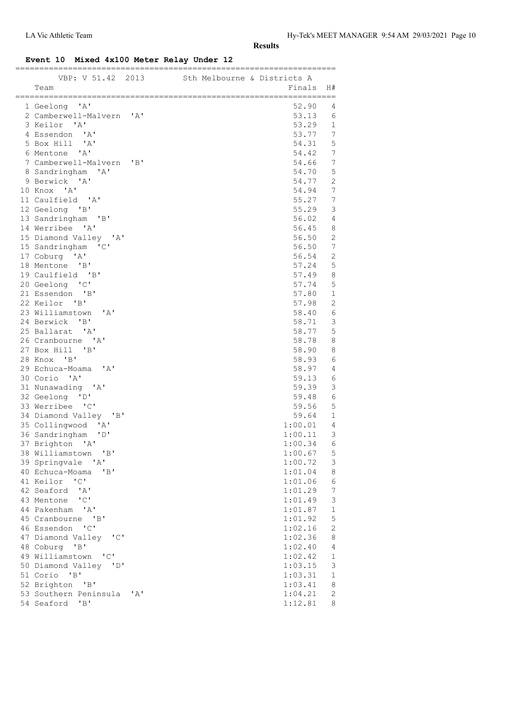### **Event 10 Mixed 4x100 Meter Relay Under 12**

| VBP: V 51.42 2013 Sth Melbourne & Districts A |     |  |                    |                           |
|-----------------------------------------------|-----|--|--------------------|---------------------------|
| Team                                          |     |  | Finals             | H#                        |
|                                               |     |  |                    |                           |
| 1 Geelong 'A'                                 |     |  | 52.90              | 4                         |
| 2 Camberwell-Malvern 'A'                      |     |  | 53.13              | 6                         |
| 3 Keilor 'A'                                  |     |  | 53.29              | $\mathbf{1}$              |
| 4 Essendon 'A'                                |     |  | 53.77              | 7                         |
| 5 Box Hill 'A'                                |     |  | 54.31              | 5                         |
| 6 Mentone 'A'                                 |     |  | 54.42              | 7                         |
| 7 Camberwell-Malvern 'B'                      |     |  | 54.66              | 7                         |
| 8 Sandringham 'A'                             |     |  | 54.70              | 5                         |
| 9 Berwick 'A'                                 |     |  | 54.77<br>54.94     | $\overline{2}$<br>7       |
| 10 Knox 'A'<br>11 Caulfield 'A'               |     |  | 55.27              | 7                         |
| 12 Geelong 'B'                                |     |  | 55.29              | 3                         |
| 13 Sandringham 'B'                            |     |  | 56.02              | $\overline{4}$            |
| 14 Werribee 'A'                               |     |  | 56.45              | 8                         |
| 15 Diamond Valley 'A'                         |     |  | 56.50              | $\overline{2}$            |
| 15 Sandringham 'C'                            |     |  | 56.50              | 7                         |
| 17 Coburg 'A'                                 |     |  | 56.54              | 2                         |
| 18 Mentone 'B'                                |     |  | 57.24              | 5                         |
| 19 Caulfield 'B'                              |     |  | 57.49              | 8                         |
| 20 Geelong 'C'                                |     |  | 57.74              | 5                         |
| 21 Essendon 'B'                               |     |  | 57.80              | $\mathbf{1}$              |
| 22 Keilor 'B'                                 |     |  | 57.98              | $\mathbf{2}$              |
| 23 Williamstown<br>$\mathsf{A}$               |     |  | 58.40              | 6                         |
| 24 Berwick 'B'                                |     |  | 58.71              | 3                         |
| 25 Ballarat 'A'                               |     |  | 58.77              | 5                         |
| 26 Cranbourne 'A'                             |     |  | 58.78              | 8                         |
| 27 Box Hill 'B'                               |     |  | 58.90              | 8                         |
| 28 Knox 'B'                                   |     |  | 58.93              | 6                         |
| 29 Echuca-Moama<br>'A'                        |     |  | 58.97              | 4                         |
| 30 Corio 'A'                                  |     |  | 59.13              | 6                         |
| 31 Nunawading 'A'                             |     |  | 59.39              | $\mathcal{E}$             |
| 32 Geelong 'D'                                |     |  | 59.48              | 6                         |
| 33 Werribee 'C'                               |     |  | 59.56              | 5                         |
| 34 Diamond Valley 'B'                         |     |  | 59.64              | 1                         |
| 35 Collingwood 'A'                            |     |  | 1:00.01            | 4                         |
| 36 Sandringham<br>"D"                         |     |  | 1:00.11            | 3                         |
| 37 Brighton 'A'                               |     |  | 1:00.34            | 6                         |
| 38 Williamstown 'B'                           |     |  | 1:00.67            | 5                         |
| 39 Springvale 'A'                             |     |  | 1:00.72            | $\ensuremath{\mathsf{3}}$ |
| "B"<br>40 Echuca-Moama                        |     |  | 1:01.04            | 8                         |
| 41 Keilor<br>$\overline{\phantom{a}}$         |     |  | 1:01.06            | $\epsilon$                |
| 42 Seaford 'A'                                |     |  | 1:01.29            | 7                         |
| 43 Mentone 'C'                                |     |  | 1:01.49            | 3                         |
| 44 Pakenham 'A'                               |     |  | 1:01.87            | 1                         |
| 45 Cranbourne 'B'                             |     |  | 1:01.92            | 5                         |
| 46 Essendon 'C'                               |     |  | 1:02.16            | $\mathbf{2}$              |
| 47 Diamond Valley 'C'                         |     |  | 1:02.36            | 8                         |
| 48 Coburg 'B'                                 |     |  | 1:02.40            | 4                         |
| 49 Williamstown 'C'                           |     |  | 1:02.42            | 1                         |
| 50 Diamond Valley 'D'                         |     |  | 1:03.15            | 3                         |
| 51 Corio 'B'                                  |     |  | 1:03.31            | $\mathbf 1$               |
| 52 Brighton 'B'<br>53 Southern Peninsula      |     |  | 1:03.41<br>1:04.21 | 8<br>2                    |
| 54 Seaford<br>"B"                             | 'A' |  | 1:12.81            | 8                         |
|                                               |     |  |                    |                           |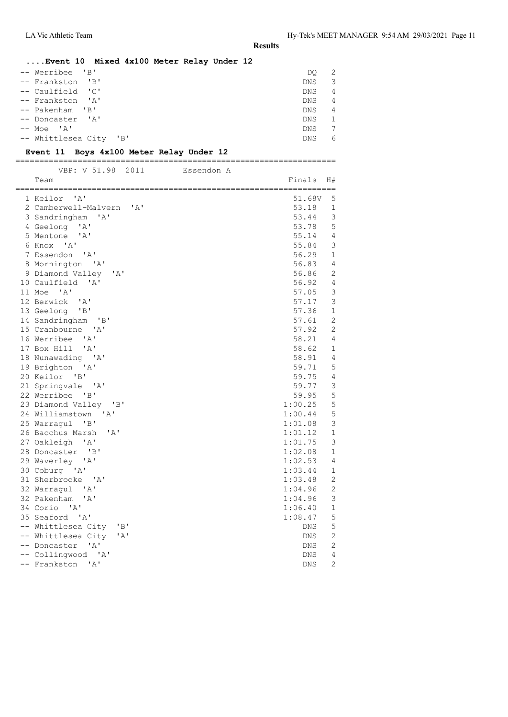| Event 10 Mixed 4x100 Meter Relay Under 12 |            |                |
|-------------------------------------------|------------|----------------|
| -- Werribee 'B'                           | DO         | -2             |
| -- Frankston 'B'                          | DNS        | 3              |
| -- Caulfield 'C'                          | <b>DNS</b> | $\overline{4}$ |
| -- Frankston 'A'                          | DNS.       | $\overline{4}$ |
| -- Pakenham 'B'                           | <b>DNS</b> | $\overline{4}$ |
| -- Doncaster 'A'                          | DNS.       | -1             |
| -- Moe 'A'                                | DNS.       | 7              |
| -- Whittlesea City<br>"B"                 | <b>DNS</b> | 6              |

### **Event 11 Boys 4x100 Meter Relay Under 12**

===================================================================

| VBP: V 51.98<br>2011                          | Essendon A |            |                |
|-----------------------------------------------|------------|------------|----------------|
| Team                                          |            | Finals     | H#             |
| 1 Keilor 'A'                                  |            | 51.68V     | 5              |
| 2 Camberwell-Malvern<br>' A'                  |            | 53.18      | $\mathbf{1}$   |
| $\overline{A}$<br>3 Sandringham               |            | 53.44      | $\mathsf 3$    |
| 4 Geelong 'A'                                 |            | 53.78      | 5              |
| 5 Mentone 'A'                                 |            | 55.14      | 4              |
| 6 Knox 'A'                                    |            | 55.84      | 3              |
| 7 Essendon 'A'                                |            | 56.29      | $\mathbf{1}$   |
| 8 Mornington 'A'                              |            | 56.83      | 4              |
| 9 Diamond Valley 'A'                          |            | 56.86      | $\mathbf{2}$   |
| 10 Caulfield 'A'                              |            | 56.92      | $\sqrt{4}$     |
| 11 Moe 'A'                                    |            | 57.05      | $\mathsf 3$    |
| 12 Berwick 'A'                                |            | 57.17      | $\mathsf 3$    |
| 13 Geelong 'B'                                |            | 57.36      | $\mathbf{1}$   |
| 14 Sandringham 'B'                            |            | 57.61      | $\overline{2}$ |
| 15 Cranbourne 'A'                             |            | 57.92      | $\mathbf{2}$   |
| 16 Werribee 'A'                               |            | 58.21      | 4              |
| 17 Box Hill 'A'                               |            | 58.62      | $\mathbf{1}$   |
| 18 Nunawading 'A'                             |            | 58.91      | $\overline{4}$ |
| 19 Brighton 'A'                               |            | 59.71      | 5              |
| 20 Keilor 'B'                                 |            | 59.75      | 4              |
| 21 Springvale 'A'                             |            | 59.77      | $\mathfrak{Z}$ |
| 22 Werribee 'B'                               |            | 59.95      | 5              |
| 23 Diamond Valley 'B'                         |            | 1:00.25    | 5              |
| 24 Williamstown 'A'                           |            | 1:00.44    | 5              |
| 25 Warragul 'B'                               |            | 1:01.08    | $\mathsf 3$    |
| 26 Bacchus Marsh<br>$^{\prime}$ A $^{\prime}$ |            | 1:01.12    | 1              |
| 27 Oakleigh 'A'                               |            | 1:01.75    | 3              |
| 28 Doncaster 'B'                              |            | 1:02.08    | $\mathbf{1}$   |
| 29 Waverley 'A'                               |            | 1:02.53    | 4              |
| 30 Coburg 'A'                                 |            | 1:03.44    | $\mathbf{1}$   |
| 31 Sherbrooke 'A'                             |            | 1:03.48    | $\mathbf{2}$   |
| 32 Warragul 'A'                               |            | 1:04.96    | $\mathbf{2}$   |
| 32 Pakenham<br>'A'                            |            | 1:04.96    | $\mathfrak{Z}$ |
| 34 Corio 'A'                                  |            | 1:06.40    | $\mathbf 1$    |
| 35 Seaford 'A'                                |            | 1:08.47    | 5              |
| -- Whittlesea City<br>"B"                     |            | DNS        | $\mathbf 5$    |
| -- Whittlesea City<br>'A'                     |            | DNS        | $\mathbf{2}$   |
| -- Doncaster<br>$\mathsf{A}$                  |            | DNS        | 2              |
| -- Collingwood 'A'                            |            | DNS        | 4              |
| -- Frankston 'A'                              |            | <b>DNS</b> | $\overline{2}$ |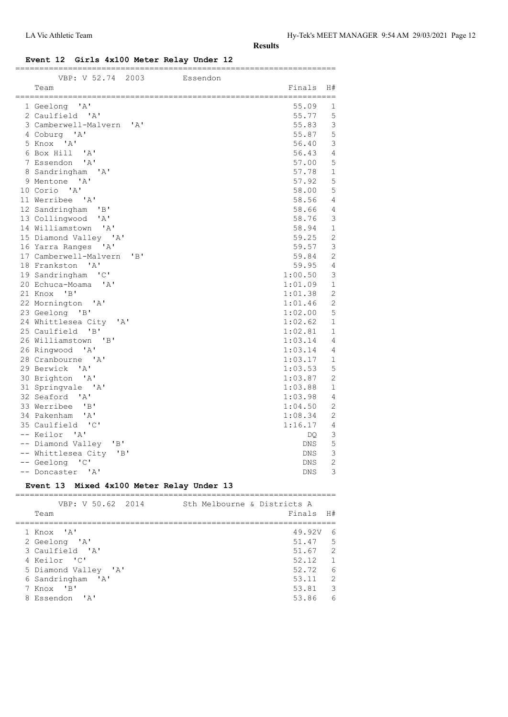### **Event 12 Girls 4x100 Meter Relay Under 12**

| VBP: V 52.74 2003                                    | Essendon |                   |                  |
|------------------------------------------------------|----------|-------------------|------------------|
| Team                                                 |          | Finals            | H#               |
| 1 Geelong 'A'                                        |          | 55.09             | 1                |
| 2 Caulfield 'A'                                      |          | 55.77             | 5                |
| 3 Camberwell-Malvern 'A'                             |          | 55.83             | $\mathsf 3$      |
| 4 Coburg 'A'                                         |          | 55.87             | 5                |
| 5 Knox 'A'                                           |          | 56.40             | 3                |
| 6 Box Hill 'A'                                       |          | 56.43             | $\overline{4}$   |
| 7 Essendon 'A'                                       |          | 57.00             | 5                |
| 8 Sandringham<br>$^{\prime}$ A $^{\prime}$           |          | 57.78             | $\mathbf{1}$     |
| 9 Mentone 'A'                                        |          | 57.92             | 5                |
| 10 Corio 'A'                                         |          | 58.00             | 5                |
| 11 Werribee<br>$^{\prime}$ A $^{\prime}$             |          | 58.56             | $\overline{4}$   |
| 12 Sandringham 'B'                                   |          | 58.66             | 4                |
| 13 Collingwood<br>' A'                               |          | 58.76             | 3                |
| 14 Williamstown 'A'                                  |          | 58.94             | $\mathbf 1$      |
| 15 Diamond Valley 'A'                                |          | 59.25             | $\overline{c}$   |
| 16 Yarra Ranges 'A'                                  |          | 59.57             | $\mathfrak{Z}$   |
| 17 Camberwell-Malvern 'B'                            |          | 59.84             | $\overline{c}$   |
| 18 Frankston 'A'                                     |          | 59.95             | $\overline{4}$   |
| 19 Sandringham 'C'                                   |          | 1:00.50           | 3                |
| 20 Echuca-Moama 'A'                                  |          | 1:01.09           | $\mathbf{1}$     |
| 21 Knox 'B'                                          |          | 1:01.38           | $\overline{c}$   |
| 22 Mornington 'A'                                    |          | 1:01.46           | $\overline{c}$   |
| 23 Geelong 'B'                                       |          | 1:02.00           | 5                |
| 24 Whittlesea City 'A'                               |          | 1:02.62           | $\mathbf{1}$     |
| 25 Caulfield 'B'                                     |          | 1:02.81           | $\mathbf{1}$     |
| 26 Williamstown<br>$\overline{B}$                    |          | 1:03.14           | $\overline{4}$   |
| 26 Ringwood 'A'                                      |          | 1:03.14           | 4                |
| 28 Cranbourne 'A'                                    |          | 1:03.17           | 1                |
| 29 Berwick<br>$\mathsf{A}$                           |          | 1:03.53           | 5                |
| 30 Brighton 'A'                                      |          | 1:03.87           | $\overline{2}$   |
| 31 Springvale 'A'                                    |          | 1:03.88           | $1\,$            |
| 32 Seaford<br>$\mathsf{A}$                           |          | 1:03.98           | 4                |
| 33 Werribee 'B'                                      |          | 1:04.50           | $\overline{2}$   |
| 34 Pakenham 'A'                                      |          | 1:08.34           | $\mathbf{2}$     |
| 35 Caulfield 'C'                                     |          | 1:16.17           | 4                |
| -- Keilor 'A'                                        |          | DQ.               | 3<br>$\mathsf S$ |
| -- Diamond Valley<br>"B"                             |          | DNS               | 3                |
| -- Whittlesea City 'B'<br>-- Geelong<br>$\mathsf{C}$ |          | DNS<br><b>DNS</b> | $\overline{2}$   |
| -- Doncaster 'A'                                     |          | <b>DNS</b>        | 3                |
|                                                      |          |                   |                  |

### **Event 13 Mixed 4x100 Meter Relay Under 13**

| VBP: V 50.62 2014<br>Team | Sth Melbourne & Districts A | Finals H# |                          |
|---------------------------|-----------------------------|-----------|--------------------------|
|                           |                             |           |                          |
| 1 Knox 'A'                |                             | 49.92V    | -6                       |
| 2 Geelong 'A'             |                             | 51.47     | $5^{\circ}$              |
| 3 Caulfield 'A'           |                             | 51.67 2   |                          |
| 4 Keilor 'C'              |                             | 52.12     | $\overline{1}$           |
| 5 Diamond Valley 'A'      |                             | 52.72     | - 6                      |
| 6 Sandringham 'A'         |                             | 53.11     | $\mathcal{L}$            |
| 7 Knox 'B'                |                             | 53.81     | $\overline{\phantom{a}}$ |
| 8 Essendon 'A'            |                             | 53.86     | 6                        |
|                           |                             |           |                          |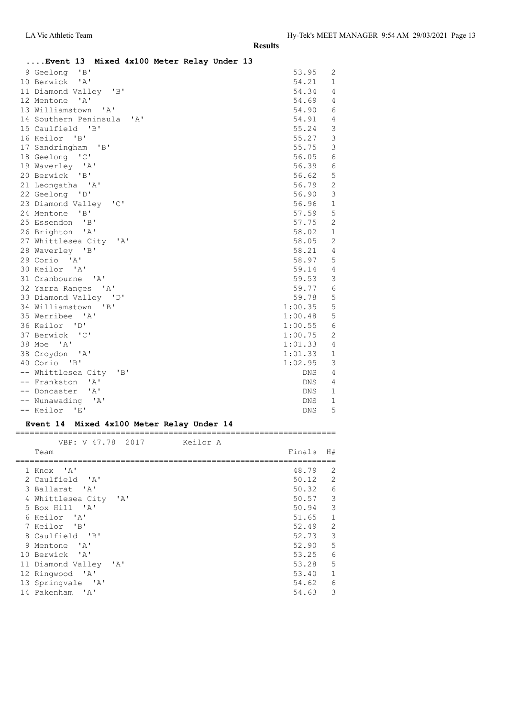| Event 13 Mixed 4x100 Meter Relay Under 13 |         |                |
|-------------------------------------------|---------|----------------|
| 9 Geelong 'B'                             | 53.95   | 2              |
| 10 Berwick 'A'                            | 54.21   | $\mathbf{1}$   |
| 11 Diamond Valley 'B'                     | 54.34   | 4              |
| 12 Mentone 'A'                            | 54.69   | 4              |
| 13 Williamstown 'A'                       | 54.90   | 6              |
| 14 Southern Peninsula 'A'                 | 54.91   | $\overline{4}$ |
| 15 Caulfield 'B'                          | 55.24   | 3              |
| 16 Keilor 'B'                             | 55.27   | $\mathcal{E}$  |
| 17 Sandringham 'B'                        | 55.75   | 3              |
| 18 Geelong 'C'                            | 56.05   | 6              |
| 19 Waverley 'A'                           | 56.39   | 6              |
| 20 Berwick 'B'                            | 56.62   | $\mathsf S$    |
| 21 Leongatha 'A'                          | 56.79   | $\overline{c}$ |
| 22 Geelong 'D'                            | 56.90   | 3              |
| 23 Diamond Valley 'C'                     | 56.96   | $\mathbf{1}$   |
| 24 Mentone 'B'                            | 57.59   | 5              |
| 25 Essendon 'B'                           | 57.75   | 2              |
| 26 Brighton 'A'                           | 58.02   | $\mathbf{1}$   |
| 27 Whittlesea City 'A'                    | 58.05   | $\overline{2}$ |
| 28 Waverley 'B'                           | 58.21   | $\overline{4}$ |
| 29 Corio 'A'                              | 58.97   | 5              |
| 30 Keilor 'A'                             | 59.14   | 4              |
| 31 Cranbourne 'A'                         | 59.53   | 3              |
| 32 Yarra Ranges 'A'                       | 59.77   | 6              |
| 33 Diamond Valley 'D'                     | 59.78   | 5              |
| 34 Williamstown 'B'                       | 1:00.35 | 5              |
| 35 Werribee 'A'                           | 1:00.48 | 5              |
| 36 Keilor 'D'                             | 1:00.55 | 6              |
| 37 Berwick 'C'                            | 1:00.75 | $\mathbf{2}$   |
| 38 Moe 'A'                                | 1:01.33 | $\overline{4}$ |
| 38 Croydon 'A'                            | 1:01.33 | 1              |
| 40 Corio 'B'                              | 1:02.95 | 3              |
| -- Whittlesea City 'B'                    | DNS     | 4              |
| -- Frankston 'A'                          | DNS     | 4              |
| -- Doncaster 'A'                          | DNS     | $\mathbf{1}$   |
| -- Nunawading 'A'                         | DNS     | $\mathbf{1}$   |
| -- Keilor 'E'                             | DNS     | 5              |

### **Event 14 Mixed 4x100 Meter Relay Under 14**

| VBP: V 47.78 2017                              | Keilor A |         |               |
|------------------------------------------------|----------|---------|---------------|
| Team                                           |          | Finals  | H#            |
| 1 Knox 'A'                                     |          | 48.79   | 2             |
| 2 Caulfield 'A'                                |          | 50.12   | 2             |
| 3 Ballarat 'A'                                 |          | 50.32   | $\epsilon$    |
| 4 Whittlesea City 'A'                          |          | 50.57   | $\mathcal{E}$ |
| 5 Box Hill 'A'                                 |          | 50.94 3 |               |
| 6 Keilor 'A'                                   |          | 51.65   | $\mathbf{1}$  |
| 7 Keilor 'B'                                   |          | 52.49   | 2             |
| 8 Caulfield 'B'                                |          | 52.73   | $\mathcal{E}$ |
| 9 Mentone 'A'                                  |          | 52.90   | 5             |
| 10 Berwick 'A'                                 |          | 53.25   | 6             |
| 11 Diamond Valley<br>$^{\prime}$ A $^{\prime}$ |          | 53.28   | 5             |
| 12 Ringwood 'A'                                |          | 53.40   | $\mathbf{1}$  |
| 13 Springvale 'A'                              |          | 54.62   | 6             |
| 14 Pakenham<br>$^{\prime}$ A $^{\prime}$       |          | 54.63   | 3             |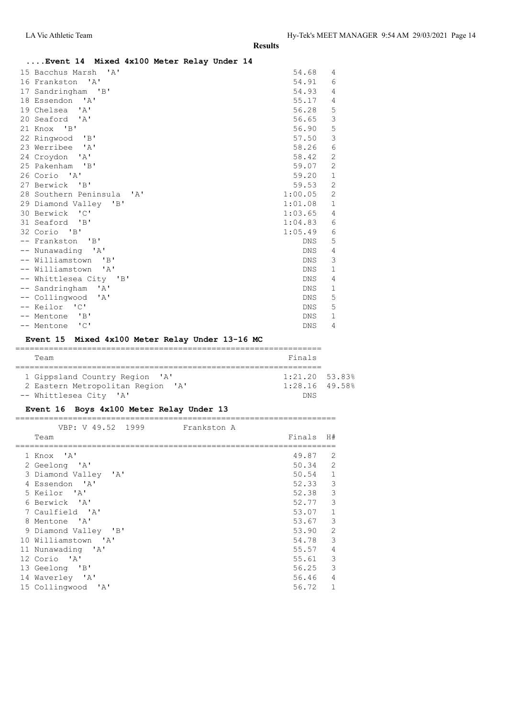| Event 14 Mixed 4x100 Meter Relay Under 14       |            |                |
|-------------------------------------------------|------------|----------------|
| 15 Bacchus Marsh 'A'                            | 54.68      | 4              |
| 16 Frankston 'A'                                | 54.91      | 6              |
| 17 Sandringham 'B'                              | 54.93      | 4              |
| 18 Essendon 'A'                                 | 55.17      | 4              |
| 19 Chelsea 'A'                                  | 56.28      | 5              |
| 20 Seaford 'A'                                  | 56.65      | $\mathsf 3$    |
| 21 Knox 'B'                                     | 56.90      | 5              |
| 22 Ringwood 'B'                                 | 57.50      | 3              |
| 23 Werribee 'A'                                 | 58.26      | 6              |
| 24 Croydon 'A'                                  | 58.42      | $\overline{2}$ |
| 25 Pakenham 'B'                                 | 59.07      | $\overline{2}$ |
| 26 Corio 'A'                                    | 59.20      | $\mathbf 1$    |
| 27 Berwick 'B'                                  | 59.53      | $\mathbf{2}$   |
| 28 Southern Peninsula 'A'                       | 1:00.05    | $\mathbf{2}$   |
| 29 Diamond Valley 'B'                           | 1:01.08    | $\mathbf{1}$   |
| 30 Berwick 'C'                                  | 1:03.65    | 4              |
| 31 Seaford 'B'                                  | 1:04.83    | 6              |
| 32 Corio 'B'                                    | 1:05.49    | 6              |
| -- Frankston 'B'                                | <b>DNS</b> | 5              |
| -- Nunawading 'A'                               | <b>DNS</b> | 4              |
| -- Williamstown 'B'                             | <b>DNS</b> | 3              |
| -- Williamstown 'A'                             | <b>DNS</b> | $\mathbf{1}$   |
| -- Whittlesea City 'B'                          | <b>DNS</b> | 4              |
| -- Sandringham<br>$^{\prime}$ A $^{\prime}$     | <b>DNS</b> | $\mathbf{1}$   |
| -- Collingwood<br>$\mathsf{A}$                  | <b>DNS</b> | 5              |
| -- Keilor 'C'                                   | <b>DNS</b> | 5              |
| -- Mentone 'B'                                  | <b>DNS</b> | $\mathbf{1}$   |
| -- Mentone 'C'                                  | <b>DNS</b> | 4              |
| Event 15 Mixed 4x100 Meter Relay Under 13-16 MC |            |                |

#### ================================================================ Team Finals ================================================================ 1 Gippsland Country Region 'A' 1:21.20 53.83%<br>2 Eastern Metropolitan Region 'A' 1:28.16 49.58% 1 Gippsiand Country Region 'A'<br>2 Eastern Metropolitan Region 'A' -- Whittlesea City 'A' DNS

### **Event 16 Boys 4x100 Meter Relay Under 13**

| VBP: V 49.52 1999    | Frankston A |           |                |
|----------------------|-------------|-----------|----------------|
| Team                 |             | Finals    | H#             |
| 1 Knox 'A'           |             | 49.87     | -2             |
| 2 Geelong 'A'        |             | $50.34$ 2 |                |
| 3 Diamond Valley 'A' |             | $50.54$ 1 |                |
| 4 Essendon 'A'       |             | 52.33     | 3              |
| 5 Keilor 'A'         |             | 52.38     | 3              |
| 6 Berwick 'A'        |             | 52.77     | 3              |
| 7 Caulfield 'A'      |             | 53.07     | $\mathbf{1}$   |
| 8 Mentone 'A'        |             | 53.67     | $\mathbf{3}$   |
| 9 Diamond Valley 'B' |             | 53.90     | 2              |
| 10 Williamstown 'A'  |             | 54.78     | 3              |
| 11 Nunawading 'A'    |             | 55.57     | $\overline{4}$ |
| 12 Corio 'A'         |             | 55.61     | 3              |
| 13 Geelong 'B'       |             | 56.25     | 3              |
| 14 Waverley 'A'      |             | 56.46     | 4              |
| 15 Collingwood 'A'   |             | 56.72     | $\mathbf{1}$   |
|                      |             |           |                |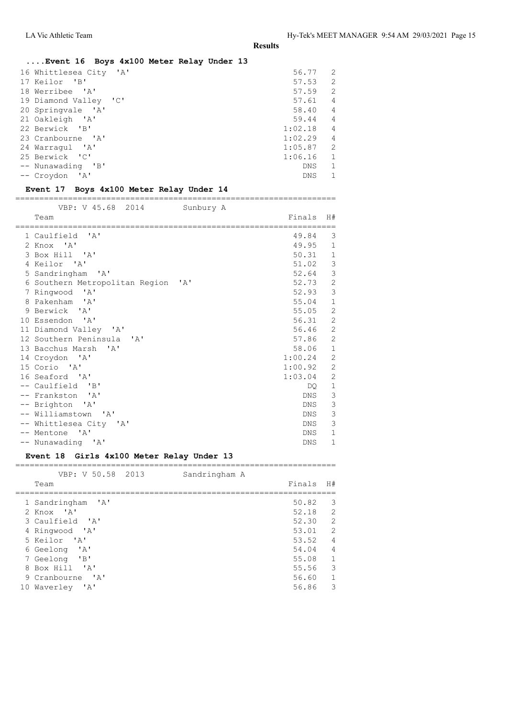## **....Event 16 Boys 4x100 Meter Relay Under 13**

| ' A'<br>16 Whittlesea City | 56.77      | $\mathcal{D}$ |
|----------------------------|------------|---------------|
| 17 Keilor 'B'              | 57.53      | $\mathcal{L}$ |
| 18 Werribee 'A'            | 57.59      | 2             |
| 19 Diamond Valley 'C'      | 57.61      | 4             |
| 20 Springvale 'A'          | 58.40      | 4             |
| 21 Oakleigh 'A'            | 59.44      | 4             |
| 22 Berwick 'B'             | 1:02.18    | 4             |
| 23 Cranbourne 'A'          | 1:02.29    | 4             |
| 24 Warraqul 'A'            | 1:05.87    | $\mathcal{L}$ |
| 25 Berwick 'C'             | 1:06.16    | 1             |
| -- Nunawading 'B'          | <b>DNS</b> |               |
| -- Croydon 'A'             | <b>DNS</b> |               |
|                            |            |               |

### **Event 17 Boys 4x100 Meter Relay Under 14**

===================================================================

| VBP: V 45.68 2014                                  | Sunbury A |            |                |
|----------------------------------------------------|-----------|------------|----------------|
| Team                                               |           | Finals H#  |                |
| 1 Caulfield 'A'                                    |           | 49.84      | 3              |
| 2 Knox 'A'                                         |           | 49.95      | $\mathbf{1}$   |
| 3 Box Hill 'A'                                     |           | 50.31      | $\mathbf{1}$   |
| 4 Keilor 'A'                                       |           | 51.02      | 3              |
| 5 Sandringham<br>$^{\prime}$ A $^{\prime}$         |           | 52.64      | $\mathfrak{Z}$ |
| 6 Southern Metropolitan Region 'A'                 |           | 52.73      | $\mathbf{2}$   |
| 7 Ringwood<br>$^{\prime}$ A $^{\prime}$            |           | 52.93      | 3              |
| 8 Pakenham 'A'                                     |           | 55.04      | $\mathbf{1}$   |
| 9 Berwick 'A'                                      |           | 55.05      | $\overline{2}$ |
| 10 Essendon 'A'                                    |           | 56.31      | $\mathbf{2}$   |
| 11 Diamond Valley 'A'                              |           | 56.46      | $\overline{2}$ |
| 12 Southern Peninsula<br>$^{\prime}$ A $^{\prime}$ |           | 57.86      | $\mathbf{2}$   |
| 13 Bacchus Marsh 'A'                               |           | 58.06      | $1\,$          |
| 14 Croydon 'A'                                     |           | 1:00.24    | $\mathbf{2}$   |
| 15 Corio 'A'                                       |           | 1:00.92    | $\mathbf{2}$   |
| 16 Seaford 'A'                                     |           | 1:03.04    | $\mathbf{2}$   |
| -- Caulfield 'B'                                   |           | DO         | $1\,$          |
| -- Frankston 'A'                                   |           | DNS        | 3              |
| -- Brighton 'A'                                    |           | DNS        | 3              |
| -- Williamstown 'A'                                |           | <b>DNS</b> | 3              |
| -- Whittlesea City 'A'                             |           | <b>DNS</b> | 3              |
| -- Mentone 'A'                                     |           | DNS.       | $\mathbf{1}$   |
| -- Nunawading 'A'                                  |           | DNS        | $\mathbf{1}$   |

#### **Event 18 Girls 4x100 Meter Relay Under 13**

| VBP: V 50.58 2013            | Sandringham A |        |                |
|------------------------------|---------------|--------|----------------|
| Team                         |               | Finals | H#             |
|                              |               |        |                |
| 1 Sandringham 'A'            |               | 50.82  | 3              |
| 2 Knox 'A'                   |               | 52.18  | 2              |
| 3 Caulfield 'A'              |               | 52.30  | 2              |
| 4 Ringwood 'A'               |               | 53.01  | 2              |
| 5 Keilor 'A'                 |               | 53.52  | $\overline{4}$ |
| 6 Geelong 'A'                |               | 54.04  | $\overline{4}$ |
| 7 Geelong 'B'                |               | 55.08  | 1              |
| 8 Box Hill 'A'               |               | 55.56  | 3              |
| 9 Cranbourne<br>$\mathsf{Z}$ |               | 56.60  | $\mathbf{1}$   |
| '' A '<br>10 Waverley        |               | 56.86  | 3              |
|                              |               |        |                |

===================================================================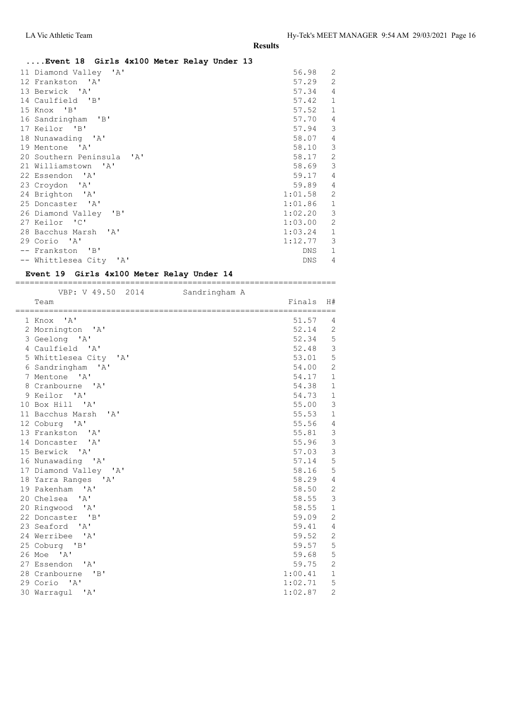### **....Event 18 Girls 4x100 Meter Relay Under 13**

| 11 Diamond Valley 'A'     | 56.98      | $\overline{2}$ |
|---------------------------|------------|----------------|
| 12 Frankston 'A'          | 57.29      | $\overline{2}$ |
| 13 Berwick 'A'            | 57.34      | $\overline{4}$ |
| 14 Caulfield 'B'          | 57.42      | $\mathbf{1}$   |
| 15 Knox 'B'               | 57.52      | $\mathbf{1}$   |
| 16 Sandringham 'B'        | 57.70      | $\overline{4}$ |
| 17 Keilor 'B'             | 57.94      | 3              |
| 18 Nunawading 'A'         | 58.07      | $\overline{4}$ |
| 19 Mentone 'A'            | 58.10      | 3              |
| 20 Southern Peninsula 'A' | 58.17      | $\overline{2}$ |
| 21 Williamstown 'A'       | 58.69      | 3              |
| 22 Essendon 'A'           | 59.17      | $\overline{4}$ |
| 23 Croydon 'A'            | 59.89      | $\overline{4}$ |
| 24 Brighton 'A'           | 1:01.58    | $\overline{2}$ |
| 25 Doncaster 'A'          | 1:01.86    | $\mathbf{1}$   |
| 26 Diamond Valley 'B'     | 1:02.20    | 3              |
| 27 Keilor 'C'             | 1:03.00    | $\overline{2}$ |
| 28 Bacchus Marsh 'A'      | 1:03.24    | $\mathbf{1}$   |
| 29 Corio 'A'              | 1:12.77    | 3              |
| -- Frankston 'B'          | DNS        | $\mathbf{1}$   |
| -- Whittlesea City 'A'    | <b>DNS</b> | 4              |
|                           |            |                |

#### **Event 19 Girls 4x100 Meter Relay Under 14** ===================================================================

| VBP: V 49.50 2014                   | Sandringham A |         |                |
|-------------------------------------|---------------|---------|----------------|
| Team                                |               | Finals  | H#             |
| $^{\prime}$ A $^{\prime}$<br>1 Knox |               | 51.57   | 4              |
| 2 Mornington 'A'                    |               | 52.14   | 2              |
| 3 Geelong 'A'                       |               | 52.34   | 5              |
| 4 Caulfield 'A'                     |               | 52.48   | $\mathsf 3$    |
| 5 Whittlesea City 'A'               |               | 53.01   | $\mathsf S$    |
| 6 Sandringham 'A'                   |               | 54.00   | $\overline{c}$ |
| 7 Mentone 'A'                       |               | 54.17   | $\mathbf 1$    |
| 8 Cranbourne 'A'                    |               | 54.38   | $1\,$          |
| 9 Keilor 'A'                        |               | 54.73   | $\,1\,$        |
| 10 Box Hill 'A'                     |               | 55.00   | $\mathfrak{Z}$ |
| 11 Bacchus Marsh 'A'                |               | 55.53   | $1\,$          |
| 12 Coburg 'A'                       |               | 55.56   | 4              |
| 13 Frankston 'A'                    |               | 55.81   | $\mathsf 3$    |
| 14 Doncaster 'A'                    |               | 55.96   | $\mathfrak{Z}$ |
| 15 Berwick 'A'                      |               | 57.03   | $\overline{3}$ |
| 16 Nunawading 'A'                   |               | 57.14   | 5              |
| 17 Diamond Valley 'A'               |               | 58.16   | 5              |
| 18 Yarra Ranges 'A'                 |               | 58.29   | $\sqrt{4}$     |
| 19 Pakenham 'A'                     |               | 58.50   | $\sqrt{2}$     |
| 20 Chelsea 'A'                      |               | 58.55   | $\mathfrak{Z}$ |
| 20 Ringwood 'A'                     |               | 58.55   | $1\,$          |
| 22 Doncaster 'B'                    |               | 59.09   | $\mathbf{2}$   |
| 23 Seaford 'A'                      |               | 59.41   | $\overline{4}$ |
| 24 Werribee 'A'                     |               | 59.52   | $\mathbf{2}$   |
| 25 Coburg 'B'                       |               | 59.57   | 5              |
| 26 Moe 'A'                          |               | 59.68   | 5              |
| 27 Essendon 'A'                     |               | 59.75   | $\overline{c}$ |
| 28 Cranbourne 'B'                   |               | 1:00.41 | $\mathbf 1$    |
| 29 Corio 'A'                        |               | 1:02.71 | 5              |
| 30 Warraqul 'A'                     |               | 1:02.87 | $\mathbf{2}$   |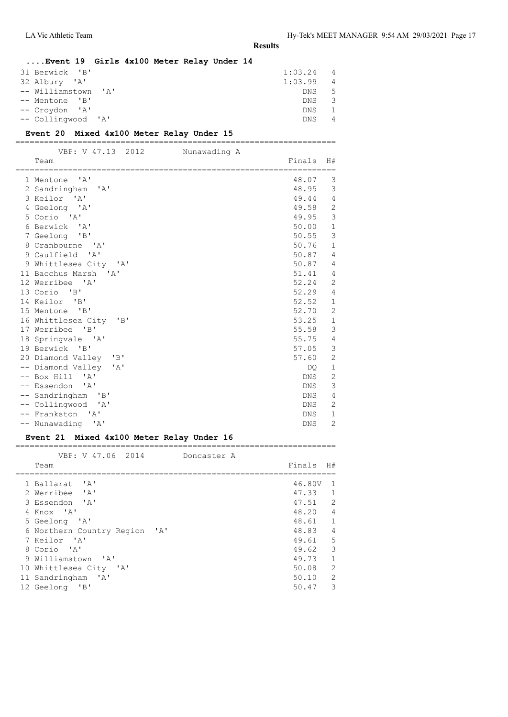| Event 19 Girls 4x100 Meter Relay Under 14 |  |  |         |                |
|-------------------------------------------|--|--|---------|----------------|
| 31 Berwick 'B'                            |  |  | 1:03.24 | $\overline{4}$ |
| 32 Albury 'A'                             |  |  | 1:03.99 | $\overline{4}$ |
| -- Williamstown 'A'                       |  |  | DNS.    | -5             |
| -- Mentone 'B'                            |  |  | DNS.    | - 3            |
| -- Croydon 'A'                            |  |  | DNS.    | -1             |
| -- Collingwood 'A'                        |  |  | DNS.    | $\overline{4}$ |
|                                           |  |  |         |                |

**Event 20 Mixed 4x100 Meter Relay Under 15**

| VBP: V 47.13 2012                           | Nunawading A |            |                |
|---------------------------------------------|--------------|------------|----------------|
| Team                                        |              | Finals     | H#             |
| $\overline{A}$<br>1 Mentone                 |              | 48.07      | 3              |
| 2 Sandringham<br>$\mathsf{A}$               |              | 48.95      | 3              |
| 3 Keilor 'A'                                |              | 49.44      | $\overline{4}$ |
| 4 Geelong 'A'                               |              | 49.58      | $\overline{c}$ |
| 5 Corio 'A'                                 |              | 49.95      | 3              |
| 6 Berwick 'A'                               |              | 50.00      | $\mathbf{1}$   |
| 7 Geelong 'B'                               |              | 50.55      | 3              |
| 8 Cranbourne 'A'                            |              | 50.76      | $\mathbf{1}$   |
| 9 Caulfield<br>$\mathsf{A}$                 |              | 50.87      | $\overline{4}$ |
| 9 Whittlesea City 'A'                       |              | 50.87      | $\overline{4}$ |
| 11 Bacchus Marsh<br>$\mathsf{A}$            |              | 51.41      | $\overline{4}$ |
| 12 Werribee 'A'                             |              | 52.24      | $\overline{c}$ |
| 13 Corio<br>$\mathsf{B}$                    |              | 52.29      | $\overline{4}$ |
| 14 Keilor 'B'                               |              | 52.52      | $\mathbf{1}$   |
| 15 Mentone 'B'                              |              | 52.70      | $\mathbf{2}$   |
| 16 Whittlesea City<br>"B"                   |              | 53.25      | $1\,$          |
| 17 Werribee<br>$\overline{B}$               |              | 55.58      | 3              |
| 18 Springvale 'A'                           |              | 55.75      | $\overline{4}$ |
| 19 Berwick 'B'                              |              | 57.05      | 3              |
| $\mathbf{B}$<br>20 Diamond Valley           |              | 57.60      | $\overline{c}$ |
| -- Diamond Valley<br>$\mathsf{A}$           |              | DQ.        | $1\,$          |
| -- Box Hill<br>$^{\prime}$ A $^{\prime}$    |              | DNS.       | $\mathbf{2}$   |
| -- Essendon<br>$^{\prime}$ A $^{\prime}$    |              | <b>DNS</b> | $\mathsf 3$    |
| -- Sandringham<br>$\mathsf{B}$              |              | <b>DNS</b> | $\overline{4}$ |
| -- Collingwood<br>$^{\prime}$ A $^{\prime}$ |              | <b>DNS</b> | $\overline{2}$ |
| -- Frankston<br>$^{\prime}$ A $^{\prime}$   |              | <b>DNS</b> | $\mathbf{1}$   |
| -- Nunawading 'A'                           |              | DNS        | $\overline{c}$ |

#### **Event 21 Mixed 4x100 Meter Relay Under 16**

| VBP: V 47.06 2014<br>Doncaster A        |           |                            |
|-----------------------------------------|-----------|----------------------------|
| Team                                    | Finals H# |                            |
| 1 Ballarat<br>$^{\prime}$ A $^{\prime}$ | 46.80V    | $\overline{1}$             |
| 2 Werribee 'A'                          | 47.33 1   |                            |
| 3 Essendon 'A'                          | $47.51$ 2 |                            |
| 4 Knox 'A'                              | 48.20 4   |                            |
| 5 Geelong 'A'                           | 48.61 1   |                            |
| 6 Northern Country Region 'A'           | 48.83     | $\overline{4}$             |
| 7 Keilor 'A'                            | 49.61 5   |                            |
| 8 Corio 'A'                             | 49.62     | 3                          |
| 9 Williamstown 'A'                      | 49.73 1   |                            |
| 10 Whittlesea City 'A'                  | 50.08     | $\overline{\phantom{0}}^2$ |
| 11 Sandringham 'A'                      | $50.10$ 2 |                            |
| 12 Geelong 'B'                          | 50.47     | 3                          |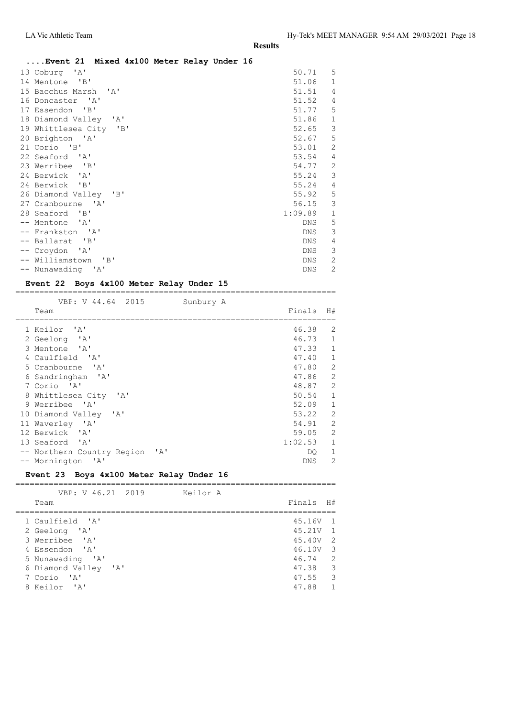| Event 21 Mixed 4x100 Meter Relay Under 16 |            |                |
|-------------------------------------------|------------|----------------|
| 13 Coburg 'A'                             | 50.71 5    |                |
| 14 Mentone 'B'                            | 51.06      | $\mathbf{1}$   |
| 15 Bacchus Marsh 'A'                      | 51.51      | $\overline{4}$ |
| 16 Doncaster 'A'                          | 51.52      | 4              |
| 17 Essendon 'B'                           | 51.77      | 5              |
| 18 Diamond Valley 'A'                     | 51.86      | $\mathbf{1}$   |
| 19 Whittlesea City 'B'                    | 52.65      | 3              |
| 20 Brighton 'A'                           | 52.67      | 5              |
| 21 Corio 'B'                              | 53.01      | 2              |
| 22 Seaford 'A'                            | 53.54      | $\overline{4}$ |
| 23 Werribee 'B'                           | 54.77      | $\overline{2}$ |
| 24 Berwick 'A'                            | 55.24      | 3              |
| 24 Berwick 'B'                            | 55.24      | 4              |
| 26 Diamond Valley 'B'                     | 55.92      | 5              |
| 27 Cranbourne 'A'                         | 56.15      | 3              |
| 28 Seaford 'B'                            | 1:09.89    | $\mathbf{1}$   |
| -- Mentone 'A'                            | DNS        | 5              |
| -- Frankston 'A'                          | DNS.       | 3              |
| -- Ballarat 'B'                           | <b>DNS</b> | 4              |
| -- Croydon 'A'                            | DNS        | 3              |
| -- Williamstown 'B'                       | DNS.       | 2              |
| -- Nunawading 'A'                         | <b>DNS</b> | $\overline{2}$ |

#### **Event 22 Boys 4x100 Meter Relay Under 15** ===================================================================

| VBP: V 44.64 2015                                       | Sunbury A  |                |
|---------------------------------------------------------|------------|----------------|
| Team                                                    | Finals     | H#             |
| 1 Keilor 'A'                                            | 46.38      | 2              |
| 2 Geelong 'A'                                           | 46.73      | $\mathbf{1}$   |
| 3 Mentone 'A'                                           | 47.33      | $\mathbf{1}$   |
| 4 Caulfield 'A'                                         | 47.40      | 1              |
| 5 Cranbourne 'A'                                        | 47.80 2    |                |
| 6 Sandringham 'A'                                       | 47.86 2    |                |
| 7 Corio 'A'                                             | 48.87      | 2              |
| 8 Whittlesea City 'A'                                   | 50.54      | $\mathbf{1}$   |
| 9 Werribee 'A'                                          | 52.09      | $\mathbf{1}$   |
| $\mathsf{A}$<br>10 Diamond Valley                       | 53.22      | 2              |
| 11 Waverley 'A'                                         | 54.91 2    |                |
| 12 Berwick 'A'                                          | 59.05 2    |                |
| 13 Seaford 'A'                                          | 1:02.53    | $\mathbf{1}$   |
| -- Northern Country Region<br>$^{\prime}$ A $^{\prime}$ | DO.        | 1              |
| -- Mornington<br>$^{\prime}$ A $^{\prime}$              | <b>DNS</b> | $\overline{c}$ |

### **Event 23 Boys 4x100 Meter Relay Under 16**

| VBP: V 46.21 2019    | Keilor A |        |                |
|----------------------|----------|--------|----------------|
| Team                 |          | Finals | H#             |
|                      |          |        |                |
| 1 Caulfield 'A'      |          | 45.16V | $\overline{1}$ |
| 2 Geelong 'A'        |          | 45.21V | $\overline{1}$ |
| 3 Werribee 'A'       |          | 45.40V | $\overline{2}$ |
| 4 Essendon 'A'       |          | 46.10V | 3              |
| 5 Nunawading 'A'     |          | 46.74  | $\overline{2}$ |
| 6 Diamond Valley 'A' |          | 47.38  | 3              |
| 7 Corio 'A'          |          | 47.55  | 3              |
| 8 Keilor 'A'         |          | 47.88  | $\mathbf{1}$   |
|                      |          |        |                |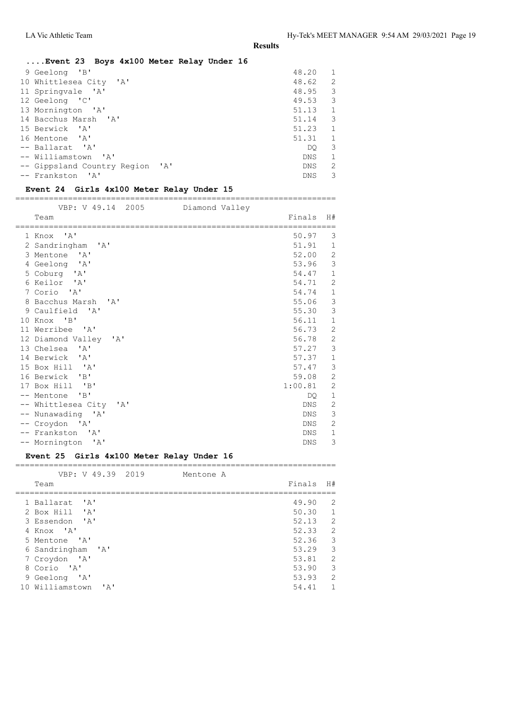| Event 23 Boys 4x100 Meter Relay Under 16 |            |              |
|------------------------------------------|------------|--------------|
| 9 Geelong 'B'                            | 48.20      | 1            |
| 10 Whittlesea City 'A'                   | 48.62      | 2            |
| 11 Springvale 'A'                        | 48.95      | 3            |
| 12 Geelong 'C'                           | 49.53      | 3            |
| 13 Mornington 'A'                        | 51.13      | 1            |
| 14 Bacchus Marsh 'A'                     | 51.14      | 3            |
| 15 Berwick 'A'                           | 51.23      | 1            |
| 16 Mentone 'A'                           | 51.31      | 1            |
| -- Ballarat 'A'                          | DO.        | 3            |
| -- Williamstown 'A'                      | DNS.       | $\mathbf{1}$ |
| -- Gippsland Country Region 'A'          | <b>DNS</b> | 2            |
| -- Frankston 'A'                         | <b>DNS</b> | 3            |

### **Event 24 Girls 4x100 Meter Relay Under 15**

===================================================================

| VBP: V 49.14 2005 Diamond Valley        |            |                |
|-----------------------------------------|------------|----------------|
| Team                                    | Finals     | H#             |
| 1 Knox 'A'                              | 50.97      | 3              |
| 2 Sandringham 'A'                       | 51.91      | $\mathbf{1}$   |
| 3 Mentone 'A'                           | 52.00      | $\mathbf{2}$   |
| 4 Geelong 'A'                           | 53.96      | 3              |
| 5 Coburg 'A'                            | 54.47      | $\mathbf{1}$   |
| 6 Keilor 'A'                            | 54.71      | 2              |
| 7 Corio 'A'                             | 54.74      | $\mathbf{1}$   |
| 8 Bacchus Marsh 'A'                     | 55.06      | 3              |
| 9 Caulfield 'A'                         | 55.30      | 3              |
| 10 Knox 'B'                             | 56.11      | $\mathbf{1}$   |
| 11 Werribee 'A'                         | 56.73      | $\overline{2}$ |
| 12 Diamond Valley 'A'                   | 56.78      | $\mathbf{2}$   |
| 13 Chelsea<br>$^{\prime}$ A $^{\prime}$ | 57.27      | 3              |
| 14 Berwick 'A'                          | 57.37      | $\mathbf{1}$   |
| 15 Box Hill 'A'                         | 57.47      | 3              |
| 16 Berwick 'B'                          | 59.08      | $\mathbf{2}$   |
| 17 Box Hill 'B'                         | 1:00.81    | $\mathbf{2}$   |
| -- Mentone 'B'                          | DO.        | $\mathbf{1}$   |
| -- Whittlesea City 'A'                  | DNS.       | 2              |
| -- Nunawading 'A'                       | DNS        | 3              |
| -- Croydon 'A'                          | <b>DNS</b> | $\overline{2}$ |
| -- Frankston 'A'                        | <b>DNS</b> | $\mathbf{1}$   |
| -- Mornington 'A'                       | DNS        | 3              |

#### **Event 25 Girls 4x100 Meter Relay Under 16**

=================================================================== VBP: V 49.39 2019 Mentone A

| Team                                              | Finals | H#                      |
|---------------------------------------------------|--------|-------------------------|
| 1 Ballarat 'A'                                    | 49.90  | 2                       |
|                                                   |        |                         |
| 2 Box Hill<br>$\mathsf{L}$                        | 50.30  | 1                       |
| 3 Essendon 'A'                                    | 52.13  | 2                       |
| 4 Knox 'A'                                        | 52.33  | $\overline{2}$          |
| 5 Mentone 'A'                                     | 52.36  | $\overline{\mathbf{3}}$ |
| 6 Sandringham 'A'                                 | 53.29  | 3                       |
| 7 Croydon 'A'                                     | 53.81  | 2                       |
| 8 Corio 'A'                                       | 53.90  | 3                       |
| 9 Geelong 'A'                                     | 53.93  | 2                       |
| 10 Williamstown<br>$\mathsf{I} \wedge \mathsf{I}$ | 54.41  | $\mathbf{1}$            |
|                                                   |        |                         |